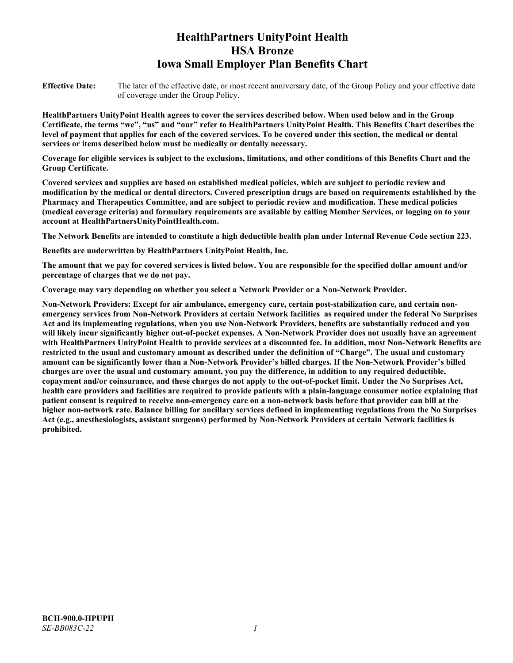# **HealthPartners UnityPoint Health HSA Bronze Iowa Small Employer Plan Benefits Chart**

**Effective Date:** The later of the effective date, or most recent anniversary date, of the Group Policy and your effective date of coverage under the Group Policy.

**HealthPartners UnityPoint Health agrees to cover the services described below. When used below and in the Group Certificate, the terms "we", "us" and "our" refer to HealthPartners UnityPoint Health. This Benefits Chart describes the level of payment that applies for each of the covered services. To be covered under this section, the medical or dental services or items described below must be medically or dentally necessary.**

**Coverage for eligible services is subject to the exclusions, limitations, and other conditions of this Benefits Chart and the Group Certificate.** 

**Covered services and supplies are based on established medical policies, which are subject to periodic review and modification by the medical or dental directors. Covered prescription drugs are based on requirements established by the Pharmacy and Therapeutics Committee, and are subject to periodic review and modification. These medical policies (medical coverage criteria) and formulary requirements are available by calling Member Services, or logging on to your account at [HealthPartnersUnityPointHealth.com.](https://www.healthpartnersunitypointhealth.com/)**

**The Network Benefits are intended to constitute a high deductible health plan under Internal Revenue Code section 223.**

**Benefits are underwritten by HealthPartners UnityPoint Health, Inc.**

**The amount that we pay for covered services is listed below. You are responsible for the specified dollar amount and/or percentage of charges that we do not pay.**

**Coverage may vary depending on whether you select a Network Provider or a Non-Network Provider.**

**Non-Network Providers: Except for air ambulance, emergency care, certain post-stabilization care, and certain nonemergency services from Non-Network Providers at certain Network facilities as required under the federal No Surprises Act and its implementing regulations, when you use Non-Network Providers, benefits are substantially reduced and you will likely incur significantly higher out-of-pocket expenses. A Non-Network Provider does not usually have an agreement with HealthPartners UnityPoint Health to provide services at a discounted fee. In addition, most Non-Network Benefits are restricted to the usual and customary amount as described under the definition of "Charge". The usual and customary amount can be significantly lower than a Non-Network Provider's billed charges. If the Non-Network Provider's billed charges are over the usual and customary amount, you pay the difference, in addition to any required deductible, copayment and/or coinsurance, and these charges do not apply to the out-of-pocket limit. Under the No Surprises Act, health care providers and facilities are required to provide patients with a plain-language consumer notice explaining that patient consent is required to receive non-emergency care on a non-network basis before that provider can bill at the higher non-network rate. Balance billing for ancillary services defined in implementing regulations from the No Surprises Act (e.g., anesthesiologists, assistant surgeons) performed by Non-Network Providers at certain Network facilities is prohibited.**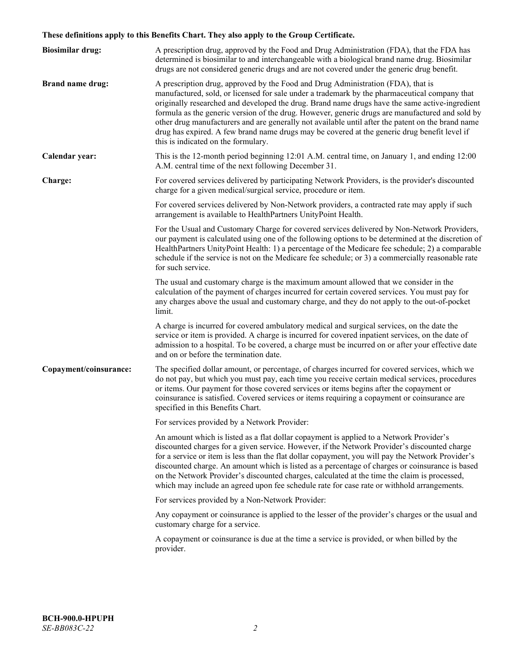# **These definitions apply to this Benefits Chart. They also apply to the Group Certificate.**

| <b>Biosimilar drug:</b> | A prescription drug, approved by the Food and Drug Administration (FDA), that the FDA has<br>determined is biosimilar to and interchangeable with a biological brand name drug. Biosimilar<br>drugs are not considered generic drugs and are not covered under the generic drug benefit.                                                                                                                                                                                                                                                                                                                                           |
|-------------------------|------------------------------------------------------------------------------------------------------------------------------------------------------------------------------------------------------------------------------------------------------------------------------------------------------------------------------------------------------------------------------------------------------------------------------------------------------------------------------------------------------------------------------------------------------------------------------------------------------------------------------------|
| <b>Brand name drug:</b> | A prescription drug, approved by the Food and Drug Administration (FDA), that is<br>manufactured, sold, or licensed for sale under a trademark by the pharmaceutical company that<br>originally researched and developed the drug. Brand name drugs have the same active-ingredient<br>formula as the generic version of the drug. However, generic drugs are manufactured and sold by<br>other drug manufacturers and are generally not available until after the patent on the brand name<br>drug has expired. A few brand name drugs may be covered at the generic drug benefit level if<br>this is indicated on the formulary. |
| Calendar year:          | This is the 12-month period beginning 12:01 A.M. central time, on January 1, and ending 12:00<br>A.M. central time of the next following December 31.                                                                                                                                                                                                                                                                                                                                                                                                                                                                              |
| Charge:                 | For covered services delivered by participating Network Providers, is the provider's discounted<br>charge for a given medical/surgical service, procedure or item.                                                                                                                                                                                                                                                                                                                                                                                                                                                                 |
|                         | For covered services delivered by Non-Network providers, a contracted rate may apply if such<br>arrangement is available to HealthPartners UnityPoint Health.                                                                                                                                                                                                                                                                                                                                                                                                                                                                      |
|                         | For the Usual and Customary Charge for covered services delivered by Non-Network Providers,<br>our payment is calculated using one of the following options to be determined at the discretion of<br>HealthPartners UnityPoint Health: 1) a percentage of the Medicare fee schedule; 2) a comparable<br>schedule if the service is not on the Medicare fee schedule; or 3) a commercially reasonable rate<br>for such service.                                                                                                                                                                                                     |
|                         | The usual and customary charge is the maximum amount allowed that we consider in the<br>calculation of the payment of charges incurred for certain covered services. You must pay for<br>any charges above the usual and customary charge, and they do not apply to the out-of-pocket<br>limit.                                                                                                                                                                                                                                                                                                                                    |
|                         | A charge is incurred for covered ambulatory medical and surgical services, on the date the<br>service or item is provided. A charge is incurred for covered inpatient services, on the date of<br>admission to a hospital. To be covered, a charge must be incurred on or after your effective date<br>and on or before the termination date.                                                                                                                                                                                                                                                                                      |
| Copayment/coinsurance:  | The specified dollar amount, or percentage, of charges incurred for covered services, which we<br>do not pay, but which you must pay, each time you receive certain medical services, procedures<br>or items. Our payment for those covered services or items begins after the copayment or<br>coinsurance is satisfied. Covered services or items requiring a copayment or coinsurance are<br>specified in this Benefits Chart.                                                                                                                                                                                                   |
|                         | For services provided by a Network Provider:                                                                                                                                                                                                                                                                                                                                                                                                                                                                                                                                                                                       |
|                         | An amount which is listed as a flat dollar copayment is applied to a Network Provider's<br>discounted charges for a given service. However, if the Network Provider's discounted charge<br>for a service or item is less than the flat dollar copayment, you will pay the Network Provider's<br>discounted charge. An amount which is listed as a percentage of charges or coinsurance is based<br>on the Network Provider's discounted charges, calculated at the time the claim is processed,<br>which may include an agreed upon fee schedule rate for case rate or withhold arrangements.                                      |
|                         | For services provided by a Non-Network Provider:                                                                                                                                                                                                                                                                                                                                                                                                                                                                                                                                                                                   |
|                         | Any copayment or coinsurance is applied to the lesser of the provider's charges or the usual and<br>customary charge for a service.                                                                                                                                                                                                                                                                                                                                                                                                                                                                                                |
|                         | A copayment or coinsurance is due at the time a service is provided, or when billed by the<br>provider.                                                                                                                                                                                                                                                                                                                                                                                                                                                                                                                            |
|                         |                                                                                                                                                                                                                                                                                                                                                                                                                                                                                                                                                                                                                                    |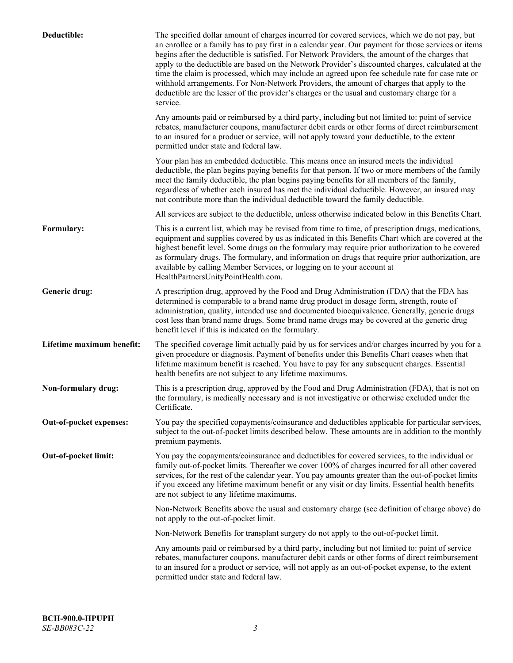| Deductible:               | The specified dollar amount of charges incurred for covered services, which we do not pay, but<br>an enrollee or a family has to pay first in a calendar year. Our payment for those services or items<br>begins after the deductible is satisfied. For Network Providers, the amount of the charges that<br>apply to the deductible are based on the Network Provider's discounted charges, calculated at the<br>time the claim is processed, which may include an agreed upon fee schedule rate for case rate or<br>withhold arrangements. For Non-Network Providers, the amount of charges that apply to the<br>deductible are the lesser of the provider's charges or the usual and customary charge for a<br>service. |
|---------------------------|----------------------------------------------------------------------------------------------------------------------------------------------------------------------------------------------------------------------------------------------------------------------------------------------------------------------------------------------------------------------------------------------------------------------------------------------------------------------------------------------------------------------------------------------------------------------------------------------------------------------------------------------------------------------------------------------------------------------------|
|                           | Any amounts paid or reimbursed by a third party, including but not limited to: point of service<br>rebates, manufacturer coupons, manufacturer debit cards or other forms of direct reimbursement<br>to an insured for a product or service, will not apply toward your deductible, to the extent<br>permitted under state and federal law.                                                                                                                                                                                                                                                                                                                                                                                |
|                           | Your plan has an embedded deductible. This means once an insured meets the individual<br>deductible, the plan begins paying benefits for that person. If two or more members of the family<br>meet the family deductible, the plan begins paying benefits for all members of the family,<br>regardless of whether each insured has met the individual deductible. However, an insured may<br>not contribute more than the individual deductible toward the family deductible.                                                                                                                                                                                                                                              |
|                           | All services are subject to the deductible, unless otherwise indicated below in this Benefits Chart.                                                                                                                                                                                                                                                                                                                                                                                                                                                                                                                                                                                                                       |
| Formulary:                | This is a current list, which may be revised from time to time, of prescription drugs, medications,<br>equipment and supplies covered by us as indicated in this Benefits Chart which are covered at the<br>highest benefit level. Some drugs on the formulary may require prior authorization to be covered<br>as formulary drugs. The formulary, and information on drugs that require prior authorization, are<br>available by calling Member Services, or logging on to your account at<br>HealthPartnersUnityPointHealth.com.                                                                                                                                                                                         |
| Generic drug:             | A prescription drug, approved by the Food and Drug Administration (FDA) that the FDA has<br>determined is comparable to a brand name drug product in dosage form, strength, route of<br>administration, quality, intended use and documented bioequivalence. Generally, generic drugs<br>cost less than brand name drugs. Some brand name drugs may be covered at the generic drug<br>benefit level if this is indicated on the formulary.                                                                                                                                                                                                                                                                                 |
| Lifetime maximum benefit: | The specified coverage limit actually paid by us for services and/or charges incurred by you for a<br>given procedure or diagnosis. Payment of benefits under this Benefits Chart ceases when that<br>lifetime maximum benefit is reached. You have to pay for any subsequent charges. Essential<br>health benefits are not subject to any lifetime maximums.                                                                                                                                                                                                                                                                                                                                                              |
| Non-formulary drug:       | This is a prescription drug, approved by the Food and Drug Administration (FDA), that is not on<br>the formulary, is medically necessary and is not investigative or otherwise excluded under the<br>Certificate.                                                                                                                                                                                                                                                                                                                                                                                                                                                                                                          |
| Out-of-pocket expenses:   | You pay the specified copayments/coinsurance and deductibles applicable for particular services,<br>subject to the out-of-pocket limits described below. These amounts are in addition to the monthly<br>premium payments.                                                                                                                                                                                                                                                                                                                                                                                                                                                                                                 |
| Out-of-pocket limit:      | You pay the copayments/coinsurance and deductibles for covered services, to the individual or<br>family out-of-pocket limits. Thereafter we cover 100% of charges incurred for all other covered<br>services, for the rest of the calendar year. You pay amounts greater than the out-of-pocket limits<br>if you exceed any lifetime maximum benefit or any visit or day limits. Essential health benefits<br>are not subject to any lifetime maximums.                                                                                                                                                                                                                                                                    |
|                           | Non-Network Benefits above the usual and customary charge (see definition of charge above) do<br>not apply to the out-of-pocket limit.                                                                                                                                                                                                                                                                                                                                                                                                                                                                                                                                                                                     |
|                           | Non-Network Benefits for transplant surgery do not apply to the out-of-pocket limit.                                                                                                                                                                                                                                                                                                                                                                                                                                                                                                                                                                                                                                       |
|                           | Any amounts paid or reimbursed by a third party, including but not limited to: point of service<br>rebates, manufacturer coupons, manufacturer debit cards or other forms of direct reimbursement<br>to an insured for a product or service, will not apply as an out-of-pocket expense, to the extent<br>permitted under state and federal law.                                                                                                                                                                                                                                                                                                                                                                           |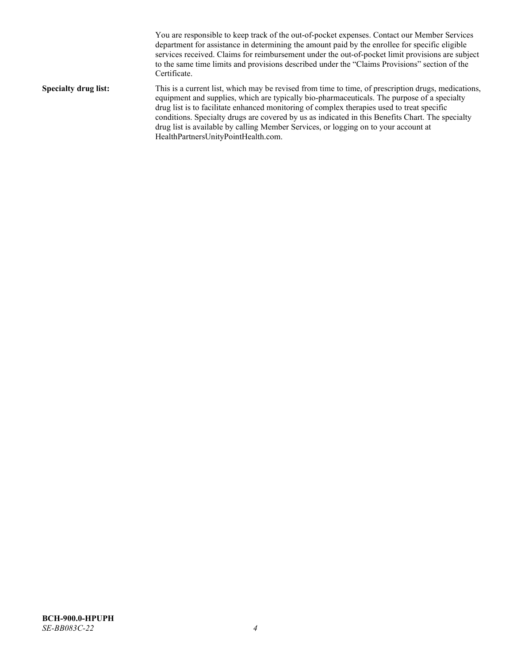You are responsible to keep track of the out-of-pocket expenses. Contact our Member Services department for assistance in determining the amount paid by the enrollee for specific eligible services received. Claims for reimbursement under the out-of-pocket limit provisions are subject to the same time limits and provisions described under the "Claims Provisions" section of the Certificate. **Specialty drug list:** This is a current list, which may be revised from time to time, of prescription drugs, medications, equipment and supplies, which are typically bio-pharmaceuticals. The purpose of a specialty drug list is to facilitate enhanced monitoring of complex therapies used to treat specific conditions. Specialty drugs are covered by us as indicated in this Benefits Chart. The specialty drug list is available by calling Member Services, or logging on to your account at [HealthPartnersUnityPointHealth.com.](https://www.healthpartnersunitypointhealth.com/)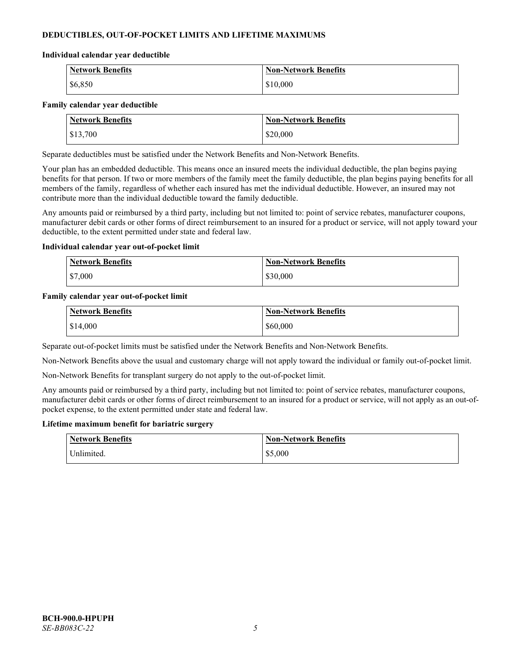# **DEDUCTIBLES, OUT-OF-POCKET LIMITS AND LIFETIME MAXIMUMS**

#### **Individual calendar year deductible**

| <b>Network Benefits</b> | <b>Non-Network Benefits</b> |
|-------------------------|-----------------------------|
| \$6,850                 | \$10,000                    |

#### **Family calendar year deductible**

| <b>Network Benefits</b> | <b>Non-Network Benefits</b> |
|-------------------------|-----------------------------|
| \$13,700                | \$20,000                    |

Separate deductibles must be satisfied under the Network Benefits and Non-Network Benefits.

Your plan has an embedded deductible. This means once an insured meets the individual deductible, the plan begins paying benefits for that person. If two or more members of the family meet the family deductible, the plan begins paying benefits for all members of the family, regardless of whether each insured has met the individual deductible. However, an insured may not contribute more than the individual deductible toward the family deductible.

Any amounts paid or reimbursed by a third party, including but not limited to: point of service rebates, manufacturer coupons, manufacturer debit cards or other forms of direct reimbursement to an insured for a product or service, will not apply toward your deductible, to the extent permitted under state and federal law.

#### **Individual calendar year out-of-pocket limit**

| <b>Network Benefits</b> | <b>Non-Network Benefits</b> |
|-------------------------|-----------------------------|
| \$7,000                 | \$30,000                    |

#### **Family calendar year out-of-pocket limit**

| <b>Network Benefits</b> | <b>Non-Network Benefits</b> |
|-------------------------|-----------------------------|
| \$14,000                | \$60,000                    |

Separate out-of-pocket limits must be satisfied under the Network Benefits and Non-Network Benefits.

Non-Network Benefits above the usual and customary charge will not apply toward the individual or family out-of-pocket limit.

Non-Network Benefits for transplant surgery do not apply to the out-of-pocket limit.

Any amounts paid or reimbursed by a third party, including but not limited to: point of service rebates, manufacturer coupons, manufacturer debit cards or other forms of direct reimbursement to an insured for a product or service, will not apply as an out-ofpocket expense, to the extent permitted under state and federal law.

#### **Lifetime maximum benefit for bariatric surgery**

| <b>Network Benefits</b> | <b>Non-Network Benefits</b> |
|-------------------------|-----------------------------|
| <sup>I</sup> Inlimited. | \$5,000                     |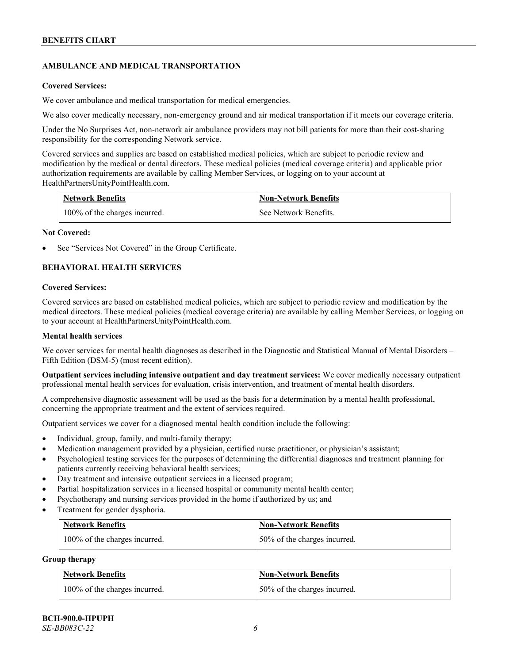# **AMBULANCE AND MEDICAL TRANSPORTATION**

#### **Covered Services:**

We cover ambulance and medical transportation for medical emergencies.

We also cover medically necessary, non-emergency ground and air medical transportation if it meets our coverage criteria.

Under the No Surprises Act, non-network air ambulance providers may not bill patients for more than their cost-sharing responsibility for the corresponding Network service.

Covered services and supplies are based on established medical policies, which are subject to periodic review and modification by the medical or dental directors. These medical policies (medical coverage criteria) and applicable prior authorization requirements are available by calling Member Services, or logging on to your account at [HealthPartnersUnityPointHealth.com.](https://www.healthpartnersunitypointhealth.com/)

| <b>Network Benefits</b>       | <b>Non-Network Benefits</b> |
|-------------------------------|-----------------------------|
| 100% of the charges incurred. | See Network Benefits.       |

#### **Not Covered:**

See "Services Not Covered" in the Group Certificate.

# **BEHAVIORAL HEALTH SERVICES**

#### **Covered Services:**

Covered services are based on established medical policies, which are subject to periodic review and modification by the medical directors. These medical policies (medical coverage criteria) are available by calling Member Services, or logging on to your account at [HealthPartnersUnityPointHealth.com.](https://www.healthpartnersunitypointhealth.com/)

#### **Mental health services**

We cover services for mental health diagnoses as described in the Diagnostic and Statistical Manual of Mental Disorders – Fifth Edition (DSM-5) (most recent edition).

**Outpatient services including intensive outpatient and day treatment services:** We cover medically necessary outpatient professional mental health services for evaluation, crisis intervention, and treatment of mental health disorders.

A comprehensive diagnostic assessment will be used as the basis for a determination by a mental health professional, concerning the appropriate treatment and the extent of services required.

Outpatient services we cover for a diagnosed mental health condition include the following:

- Individual, group, family, and multi-family therapy;
- Medication management provided by a physician, certified nurse practitioner, or physician's assistant;
- Psychological testing services for the purposes of determining the differential diagnoses and treatment planning for patients currently receiving behavioral health services;
- Day treatment and intensive outpatient services in a licensed program;
- Partial hospitalization services in a licensed hospital or community mental health center;
- Psychotherapy and nursing services provided in the home if authorized by us; and
- Treatment for gender dysphoria.

| <b>Network Benefits</b>       | <b>Non-Network Benefits</b>  |
|-------------------------------|------------------------------|
| 100% of the charges incurred. | 50% of the charges incurred. |

#### **Group therapy**

| <b>Network Benefits</b>       | <b>Non-Network Benefits</b>  |
|-------------------------------|------------------------------|
| 100% of the charges incurred. | 50% of the charges incurred. |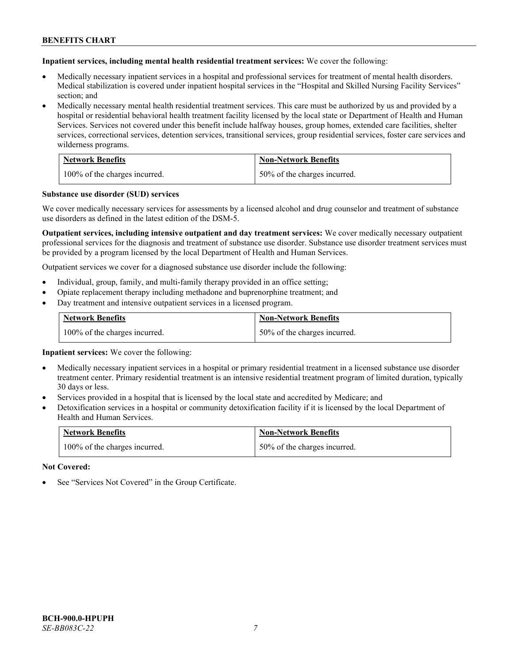**Inpatient services, including mental health residential treatment services:** We cover the following:

- Medically necessary inpatient services in a hospital and professional services for treatment of mental health disorders. Medical stabilization is covered under inpatient hospital services in the "Hospital and Skilled Nursing Facility Services" section; and
- Medically necessary mental health residential treatment services. This care must be authorized by us and provided by a hospital or residential behavioral health treatment facility licensed by the local state or Department of Health and Human Services. Services not covered under this benefit include halfway houses, group homes, extended care facilities, shelter services, correctional services, detention services, transitional services, group residential services, foster care services and wilderness programs.

| <b>Network Benefits</b>       | <b>Non-Network Benefits</b>  |
|-------------------------------|------------------------------|
| 100% of the charges incurred. | 50% of the charges incurred. |

#### **Substance use disorder (SUD) services**

We cover medically necessary services for assessments by a licensed alcohol and drug counselor and treatment of substance use disorders as defined in the latest edition of the DSM-5.

**Outpatient services, including intensive outpatient and day treatment services:** We cover medically necessary outpatient professional services for the diagnosis and treatment of substance use disorder. Substance use disorder treatment services must be provided by a program licensed by the local Department of Health and Human Services.

Outpatient services we cover for a diagnosed substance use disorder include the following:

- Individual, group, family, and multi-family therapy provided in an office setting;
- Opiate replacement therapy including methadone and buprenorphine treatment; and
- Day treatment and intensive outpatient services in a licensed program.

| <b>Network Benefits</b>       | <b>Non-Network Benefits</b>  |
|-------------------------------|------------------------------|
| 100% of the charges incurred. | 50% of the charges incurred. |

**Inpatient services:** We cover the following:

- Medically necessary inpatient services in a hospital or primary residential treatment in a licensed substance use disorder treatment center. Primary residential treatment is an intensive residential treatment program of limited duration, typically 30 days or less.
- Services provided in a hospital that is licensed by the local state and accredited by Medicare; and
- Detoxification services in a hospital or community detoxification facility if it is licensed by the local Department of Health and Human Services.

| <b>Network Benefits</b>       | <b>Non-Network Benefits</b>  |
|-------------------------------|------------------------------|
| 100% of the charges incurred. | 50% of the charges incurred. |

**Not Covered:**

See "Services Not Covered" in the Group Certificate.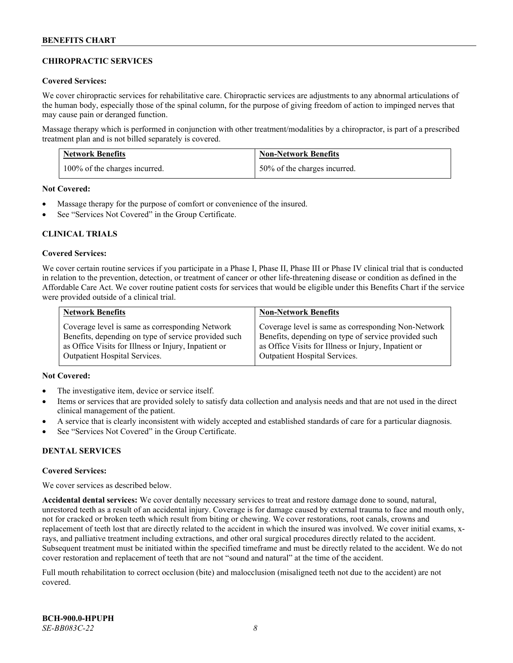## **CHIROPRACTIC SERVICES**

#### **Covered Services:**

We cover chiropractic services for rehabilitative care. Chiropractic services are adjustments to any abnormal articulations of the human body, especially those of the spinal column, for the purpose of giving freedom of action to impinged nerves that may cause pain or deranged function.

Massage therapy which is performed in conjunction with other treatment/modalities by a chiropractor, is part of a prescribed treatment plan and is not billed separately is covered.

| <b>Network Benefits</b>       | <b>Non-Network Benefits</b>  |
|-------------------------------|------------------------------|
| 100% of the charges incurred. | 50% of the charges incurred. |

**Not Covered:**

- Massage therapy for the purpose of comfort or convenience of the insured.
- See "Services Not Covered" in the Group Certificate.

### **CLINICAL TRIALS**

#### **Covered Services:**

We cover certain routine services if you participate in a Phase I, Phase II, Phase III or Phase IV clinical trial that is conducted in relation to the prevention, detection, or treatment of cancer or other life-threatening disease or condition as defined in the Affordable Care Act. We cover routine patient costs for services that would be eligible under this Benefits Chart if the service were provided outside of a clinical trial.

| <b>Network Benefits</b>                              | <b>Non-Network Benefits</b>                          |
|------------------------------------------------------|------------------------------------------------------|
| Coverage level is same as corresponding Network      | Coverage level is same as corresponding Non-Network  |
| Benefits, depending on type of service provided such | Benefits, depending on type of service provided such |
| as Office Visits for Illness or Injury, Inpatient or | as Office Visits for Illness or Injury, Inpatient or |
| <b>Outpatient Hospital Services.</b>                 | <b>Outpatient Hospital Services.</b>                 |

### **Not Covered:**

- The investigative item, device or service itself.
- Items or services that are provided solely to satisfy data collection and analysis needs and that are not used in the direct clinical management of the patient.
- A service that is clearly inconsistent with widely accepted and established standards of care for a particular diagnosis.
- See "Services Not Covered" in the Group Certificate.

### **DENTAL SERVICES**

#### **Covered Services:**

We cover services as described below.

**Accidental dental services:** We cover dentally necessary services to treat and restore damage done to sound, natural, unrestored teeth as a result of an accidental injury. Coverage is for damage caused by external trauma to face and mouth only, not for cracked or broken teeth which result from biting or chewing. We cover restorations, root canals, crowns and replacement of teeth lost that are directly related to the accident in which the insured was involved. We cover initial exams, xrays, and palliative treatment including extractions, and other oral surgical procedures directly related to the accident. Subsequent treatment must be initiated within the specified timeframe and must be directly related to the accident. We do not cover restoration and replacement of teeth that are not "sound and natural" at the time of the accident.

Full mouth rehabilitation to correct occlusion (bite) and malocclusion (misaligned teeth not due to the accident) are not covered.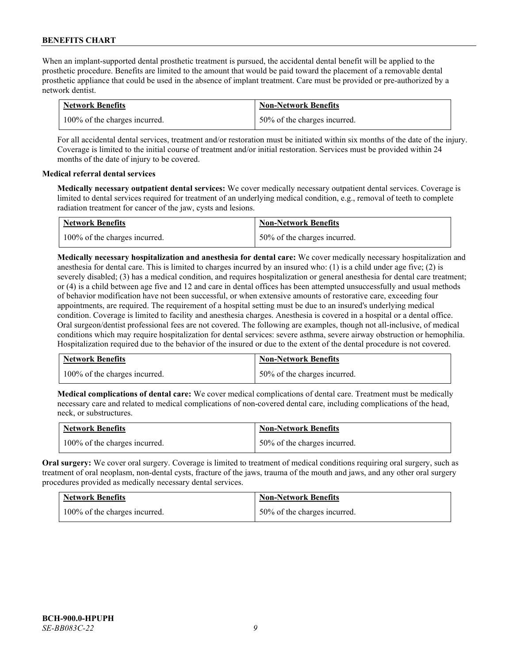When an implant-supported dental prosthetic treatment is pursued, the accidental dental benefit will be applied to the prosthetic procedure. Benefits are limited to the amount that would be paid toward the placement of a removable dental prosthetic appliance that could be used in the absence of implant treatment. Care must be provided or pre-authorized by a network dentist.

| <b>Network Benefits</b>       | <b>Non-Network Benefits</b>  |
|-------------------------------|------------------------------|
| 100% of the charges incurred. | 50% of the charges incurred. |

For all accidental dental services, treatment and/or restoration must be initiated within six months of the date of the injury. Coverage is limited to the initial course of treatment and/or initial restoration. Services must be provided within 24 months of the date of injury to be covered.

### **Medical referral dental services**

**Medically necessary outpatient dental services:** We cover medically necessary outpatient dental services. Coverage is limited to dental services required for treatment of an underlying medical condition, e.g., removal of teeth to complete radiation treatment for cancer of the jaw, cysts and lesions.

| <b>Network Benefits</b>       | <b>Non-Network Benefits</b>  |
|-------------------------------|------------------------------|
| 100% of the charges incurred. | 50% of the charges incurred. |

**Medically necessary hospitalization and anesthesia for dental care:** We cover medically necessary hospitalization and anesthesia for dental care. This is limited to charges incurred by an insured who: (1) is a child under age five; (2) is severely disabled; (3) has a medical condition, and requires hospitalization or general anesthesia for dental care treatment; or (4) is a child between age five and 12 and care in dental offices has been attempted unsuccessfully and usual methods of behavior modification have not been successful, or when extensive amounts of restorative care, exceeding four appointments, are required. The requirement of a hospital setting must be due to an insured's underlying medical condition. Coverage is limited to facility and anesthesia charges. Anesthesia is covered in a hospital or a dental office. Oral surgeon/dentist professional fees are not covered. The following are examples, though not all-inclusive, of medical conditions which may require hospitalization for dental services: severe asthma, severe airway obstruction or hemophilia. Hospitalization required due to the behavior of the insured or due to the extent of the dental procedure is not covered.

| <b>Network Benefits</b>       | <b>Non-Network Benefits</b>  |
|-------------------------------|------------------------------|
| 100% of the charges incurred. | 50% of the charges incurred. |

**Medical complications of dental care:** We cover medical complications of dental care. Treatment must be medically necessary care and related to medical complications of non-covered dental care, including complications of the head, neck, or substructures.

| <b>Network Benefits</b>       | <b>Non-Network Benefits</b>  |
|-------------------------------|------------------------------|
| 100% of the charges incurred. | 50% of the charges incurred. |

**Oral surgery:** We cover oral surgery. Coverage is limited to treatment of medical conditions requiring oral surgery, such as treatment of oral neoplasm, non-dental cysts, fracture of the jaws, trauma of the mouth and jaws, and any other oral surgery procedures provided as medically necessary dental services.

| <b>Network Benefits</b>       | <b>Non-Network Benefits</b>  |
|-------------------------------|------------------------------|
| 100% of the charges incurred. | 50% of the charges incurred. |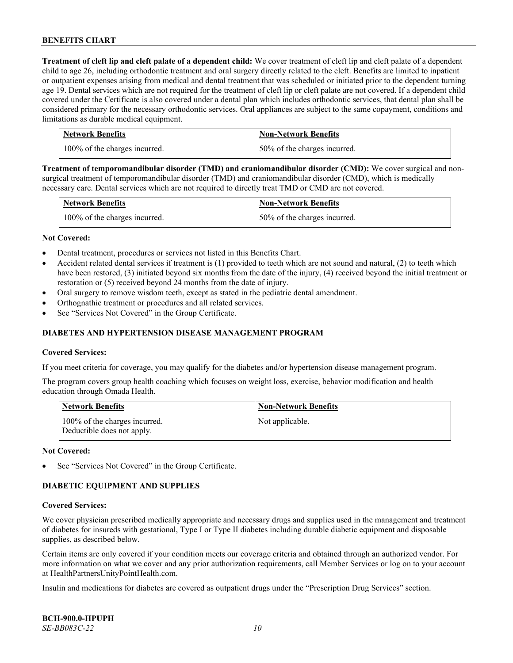**Treatment of cleft lip and cleft palate of a dependent child:** We cover treatment of cleft lip and cleft palate of a dependent child to age 26, including orthodontic treatment and oral surgery directly related to the cleft. Benefits are limited to inpatient or outpatient expenses arising from medical and dental treatment that was scheduled or initiated prior to the dependent turning age 19. Dental services which are not required for the treatment of cleft lip or cleft palate are not covered. If a dependent child covered under the Certificate is also covered under a dental plan which includes orthodontic services, that dental plan shall be considered primary for the necessary orthodontic services. Oral appliances are subject to the same copayment, conditions and limitations as durable medical equipment.

| <b>Network Benefits</b>       | <b>Non-Network Benefits</b>  |
|-------------------------------|------------------------------|
| 100% of the charges incurred. | 50% of the charges incurred. |

**Treatment of temporomandibular disorder (TMD) and craniomandibular disorder (CMD):** We cover surgical and nonsurgical treatment of temporomandibular disorder (TMD) and craniomandibular disorder (CMD), which is medically necessary care. Dental services which are not required to directly treat TMD or CMD are not covered.

| <b>Network Benefits</b>       | <b>Non-Network Benefits</b>  |
|-------------------------------|------------------------------|
| 100% of the charges incurred. | 50% of the charges incurred. |

#### **Not Covered:**

- Dental treatment, procedures or services not listed in this Benefits Chart.
- Accident related dental services if treatment is (1) provided to teeth which are not sound and natural, (2) to teeth which have been restored, (3) initiated beyond six months from the date of the injury, (4) received beyond the initial treatment or restoration or (5) received beyond 24 months from the date of injury.
- Oral surgery to remove wisdom teeth, except as stated in the pediatric dental amendment.
- Orthognathic treatment or procedures and all related services.
- See "Services Not Covered" in the Group Certificate.

#### **DIABETES AND HYPERTENSION DISEASE MANAGEMENT PROGRAM**

#### **Covered Services:**

If you meet criteria for coverage, you may qualify for the diabetes and/or hypertension disease management program.

The program covers group health coaching which focuses on weight loss, exercise, behavior modification and health education through Omada Health.

| <b>Network Benefits</b>                                     | <b>Non-Network Benefits</b> |
|-------------------------------------------------------------|-----------------------------|
| 100% of the charges incurred.<br>Deductible does not apply. | Not applicable.             |

#### **Not Covered:**

See "Services Not Covered" in the Group Certificate.

### **DIABETIC EQUIPMENT AND SUPPLIES**

#### **Covered Services:**

We cover physician prescribed medically appropriate and necessary drugs and supplies used in the management and treatment of diabetes for insureds with gestational, Type I or Type II diabetes including durable diabetic equipment and disposable supplies, as described below.

Certain items are only covered if your condition meets our coverage criteria and obtained through an authorized vendor. For more information on what we cover and any prior authorization requirements, call Member Services or log on to your account at [HealthPartnersUnityPointHealth.com.](https://www.healthpartnersunitypointhealth.com/)

Insulin and medications for diabetes are covered as outpatient drugs under the "Prescription Drug Services" section.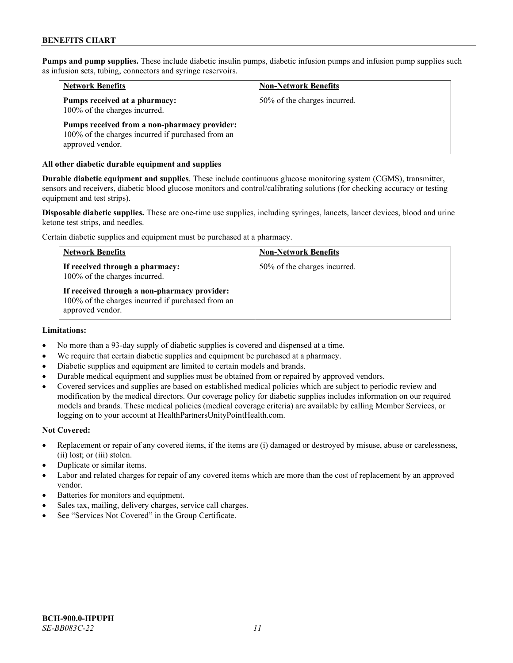**Pumps and pump supplies.** These include diabetic insulin pumps, diabetic infusion pumps and infusion pump supplies such as infusion sets, tubing, connectors and syringe reservoirs.

| <b>Network Benefits</b>                                                                                               | <b>Non-Network Benefits</b>  |
|-----------------------------------------------------------------------------------------------------------------------|------------------------------|
| Pumps received at a pharmacy:<br>100% of the charges incurred.                                                        | 50% of the charges incurred. |
| Pumps received from a non-pharmacy provider:<br>100% of the charges incurred if purchased from an<br>approved vendor. |                              |

#### **All other diabetic durable equipment and supplies**

**Durable diabetic equipment and supplies**. These include continuous glucose monitoring system (CGMS), transmitter, sensors and receivers, diabetic blood glucose monitors and control/calibrating solutions (for checking accuracy or testing equipment and test strips).

**Disposable diabetic supplies.** These are one-time use supplies, including syringes, lancets, lancet devices, blood and urine ketone test strips, and needles.

Certain diabetic supplies and equipment must be purchased at a pharmacy.

| <b>Network Benefits</b>                                                                                               | <b>Non-Network Benefits</b>  |
|-----------------------------------------------------------------------------------------------------------------------|------------------------------|
| If received through a pharmacy:<br>100% of the charges incurred.                                                      | 50% of the charges incurred. |
| If received through a non-pharmacy provider:<br>100% of the charges incurred if purchased from an<br>approved vendor. |                              |

#### **Limitations:**

- No more than a 93-day supply of diabetic supplies is covered and dispensed at a time.
- We require that certain diabetic supplies and equipment be purchased at a pharmacy.
- Diabetic supplies and equipment are limited to certain models and brands.
- Durable medical equipment and supplies must be obtained from or repaired by approved vendors.
- Covered services and supplies are based on established medical policies which are subject to periodic review and modification by the medical directors. Our coverage policy for diabetic supplies includes information on our required models and brands. These medical policies (medical coverage criteria) are available by calling Member Services, or logging on to your account a[t HealthPartnersUnityPointHealth.com.](https://www.healthpartnersunitypointhealth.com/)

#### **Not Covered:**

- Replacement or repair of any covered items, if the items are (i) damaged or destroyed by misuse, abuse or carelessness, (ii) lost; or (iii) stolen.
- Duplicate or similar items.
- Labor and related charges for repair of any covered items which are more than the cost of replacement by an approved vendor.
- Batteries for monitors and equipment.
- Sales tax, mailing, delivery charges, service call charges.
- See "Services Not Covered" in the Group Certificate.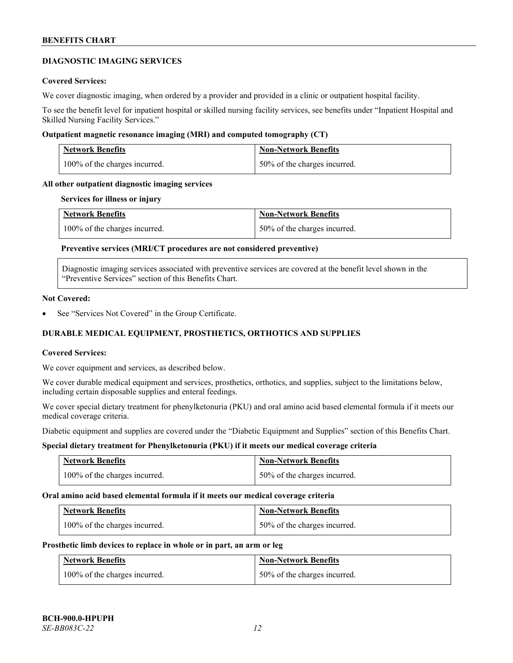#### **DIAGNOSTIC IMAGING SERVICES**

#### **Covered Services:**

We cover diagnostic imaging, when ordered by a provider and provided in a clinic or outpatient hospital facility.

To see the benefit level for inpatient hospital or skilled nursing facility services, see benefits under "Inpatient Hospital and Skilled Nursing Facility Services."

#### **Outpatient magnetic resonance imaging (MRI) and computed tomography (CT)**

| <b>Network Benefits</b>       | <b>Non-Network Benefits</b>      |
|-------------------------------|----------------------------------|
| 100% of the charges incurred. | $150\%$ of the charges incurred. |

#### **All other outpatient diagnostic imaging services**

#### **Services for illness or injury**

| <b>Network Benefits</b>       | <b>Non-Network Benefits</b>  |
|-------------------------------|------------------------------|
| 100% of the charges incurred. | 50% of the charges incurred. |

## **Preventive services (MRI/CT procedures are not considered preventive)**

Diagnostic imaging services associated with preventive services are covered at the benefit level shown in the "Preventive Services" section of this Benefits Chart.

#### **Not Covered:**

See "Services Not Covered" in the Group Certificate.

# **DURABLE MEDICAL EQUIPMENT, PROSTHETICS, ORTHOTICS AND SUPPLIES**

#### **Covered Services:**

We cover equipment and services, as described below.

We cover durable medical equipment and services, prosthetics, orthotics, and supplies, subject to the limitations below, including certain disposable supplies and enteral feedings.

We cover special dietary treatment for phenylketonuria (PKU) and oral amino acid based elemental formula if it meets our medical coverage criteria.

Diabetic equipment and supplies are covered under the "Diabetic Equipment and Supplies" section of this Benefits Chart.

### **Special dietary treatment for Phenylketonuria (PKU) if it meets our medical coverage criteria**

| <b>Network Benefits</b>       | <b>Non-Network Benefits</b>  |
|-------------------------------|------------------------------|
| 100% of the charges incurred. | 50% of the charges incurred. |

#### **Oral amino acid based elemental formula if it meets our medical coverage criteria**

| <b>Network Benefits</b>       | <b>Non-Network Benefits</b>  |
|-------------------------------|------------------------------|
| 100% of the charges incurred. | 50% of the charges incurred. |

#### **Prosthetic limb devices to replace in whole or in part, an arm or leg**

| <b>Network Benefits</b>       | <b>Non-Network Benefits</b>  |
|-------------------------------|------------------------------|
| 100% of the charges incurred. | 50% of the charges incurred. |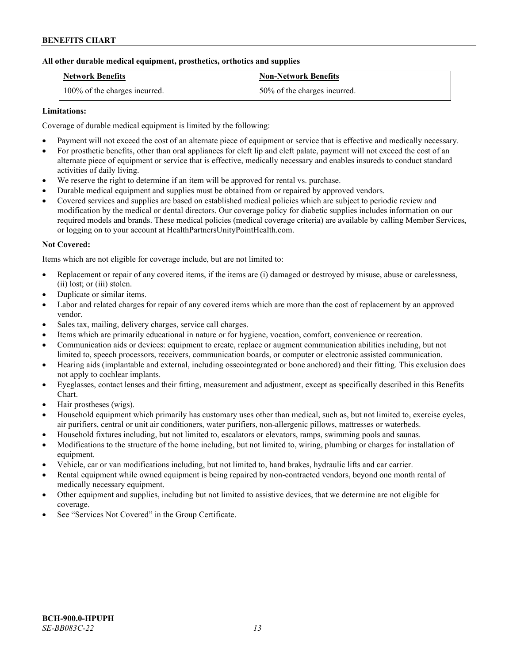### **All other durable medical equipment, prosthetics, orthotics and supplies**

| <b>Network Benefits</b>       | <b>Non-Network Benefits</b>  |
|-------------------------------|------------------------------|
| 100% of the charges incurred. | 50% of the charges incurred. |

### **Limitations:**

Coverage of durable medical equipment is limited by the following:

- Payment will not exceed the cost of an alternate piece of equipment or service that is effective and medically necessary.
- For prosthetic benefits, other than oral appliances for cleft lip and cleft palate, payment will not exceed the cost of an alternate piece of equipment or service that is effective, medically necessary and enables insureds to conduct standard activities of daily living.
- We reserve the right to determine if an item will be approved for rental vs. purchase.
- Durable medical equipment and supplies must be obtained from or repaired by approved vendors.
- Covered services and supplies are based on established medical policies which are subject to periodic review and modification by the medical or dental directors. Our coverage policy for diabetic supplies includes information on our required models and brands. These medical policies (medical coverage criteria) are available by calling Member Services, or logging on to your account at [HealthPartnersUnityPointHealth.com.](https://www.healthpartnersunitypointhealth.com/)

### **Not Covered:**

Items which are not eligible for coverage include, but are not limited to:

- Replacement or repair of any covered items, if the items are (i) damaged or destroyed by misuse, abuse or carelessness, (ii) lost; or (iii) stolen.
- Duplicate or similar items.
- Labor and related charges for repair of any covered items which are more than the cost of replacement by an approved vendor.
- Sales tax, mailing, delivery charges, service call charges.
- Items which are primarily educational in nature or for hygiene, vocation, comfort, convenience or recreation.
- Communication aids or devices: equipment to create, replace or augment communication abilities including, but not limited to, speech processors, receivers, communication boards, or computer or electronic assisted communication.
- Hearing aids (implantable and external, including osseointegrated or bone anchored) and their fitting. This exclusion does not apply to cochlear implants.
- Eyeglasses, contact lenses and their fitting, measurement and adjustment, except as specifically described in this Benefits Chart.
- Hair prostheses (wigs).
- Household equipment which primarily has customary uses other than medical, such as, but not limited to, exercise cycles, air purifiers, central or unit air conditioners, water purifiers, non-allergenic pillows, mattresses or waterbeds.
- Household fixtures including, but not limited to, escalators or elevators, ramps, swimming pools and saunas.
- Modifications to the structure of the home including, but not limited to, wiring, plumbing or charges for installation of equipment.
- Vehicle, car or van modifications including, but not limited to, hand brakes, hydraulic lifts and car carrier.
- Rental equipment while owned equipment is being repaired by non-contracted vendors, beyond one month rental of medically necessary equipment.
- Other equipment and supplies, including but not limited to assistive devices, that we determine are not eligible for coverage.
- See "Services Not Covered" in the Group Certificate.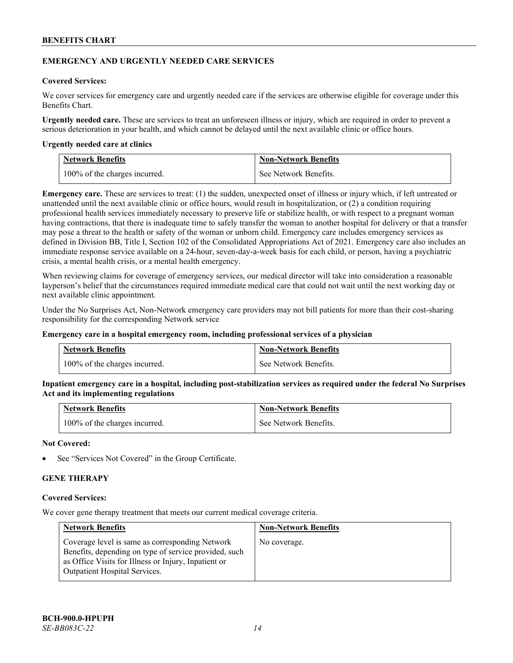#### **EMERGENCY AND URGENTLY NEEDED CARE SERVICES**

### **Covered Services:**

We cover services for emergency care and urgently needed care if the services are otherwise eligible for coverage under this Benefits Chart.

**Urgently needed care.** These are services to treat an unforeseen illness or injury, which are required in order to prevent a serious deterioration in your health, and which cannot be delayed until the next available clinic or office hours.

#### **Urgently needed care at clinics**

| <b>Network Benefits</b>       | <b>Non-Network Benefits</b> |
|-------------------------------|-----------------------------|
| 100% of the charges incurred. | See Network Benefits.       |

**Emergency care.** These are services to treat: (1) the sudden, unexpected onset of illness or injury which, if left untreated or unattended until the next available clinic or office hours, would result in hospitalization, or (2) a condition requiring professional health services immediately necessary to preserve life or stabilize health, or with respect to a pregnant woman having contractions, that there is inadequate time to safely transfer the woman to another hospital for delivery or that a transfer may pose a threat to the health or safety of the woman or unborn child. Emergency care includes emergency services as defined in Division BB, Title I, Section 102 of the Consolidated Appropriations Act of 2021. Emergency care also includes an immediate response service available on a 24-hour, seven-day-a-week basis for each child, or person, having a psychiatric crisis, a mental health crisis, or a mental health emergency.

When reviewing claims for coverage of emergency services, our medical director will take into consideration a reasonable layperson's belief that the circumstances required immediate medical care that could not wait until the next working day or next available clinic appointment.

Under the No Surprises Act, Non-Network emergency care providers may not bill patients for more than their cost-sharing responsibility for the corresponding Network service

#### **Emergency care in a hospital emergency room, including professional services of a physician**

| <b>Network Benefits</b>       | <b>Non-Network Benefits</b> |
|-------------------------------|-----------------------------|
| 100% of the charges incurred. | See Network Benefits.       |

**Inpatient emergency care in a hospital, including post-stabilization services as required under the federal No Surprises Act and its implementing regulations**

| <b>Network Benefits</b>       | <b>Non-Network Benefits</b> |
|-------------------------------|-----------------------------|
| 100% of the charges incurred. | See Network Benefits.       |

#### **Not Covered:**

See "Services Not Covered" in the Group Certificate.

### **GENE THERAPY**

#### **Covered Services:**

We cover gene therapy treatment that meets our current medical coverage criteria.

| <b>Network Benefits</b>                                                                                                                                                                                  | <b>Non-Network Benefits</b> |
|----------------------------------------------------------------------------------------------------------------------------------------------------------------------------------------------------------|-----------------------------|
| Coverage level is same as corresponding Network<br>Benefits, depending on type of service provided, such<br>as Office Visits for Illness or Injury, Inpatient or<br><b>Outpatient Hospital Services.</b> | No coverage.                |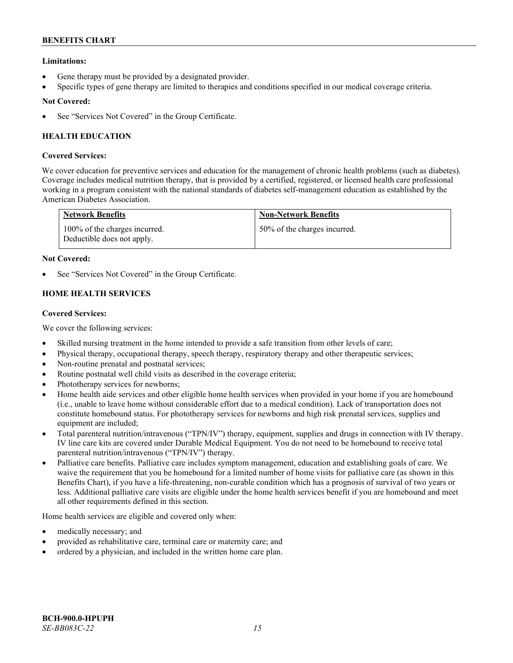## **Limitations:**

- Gene therapy must be provided by a designated provider.
- Specific types of gene therapy are limited to therapies and conditions specified in our medical coverage criteria.

## **Not Covered:**

See "Services Not Covered" in the Group Certificate.

# **HEALTH EDUCATION**

### **Covered Services:**

We cover education for preventive services and education for the management of chronic health problems (such as diabetes). Coverage includes medical nutrition therapy, that is provided by a certified, registered, or licensed health care professional working in a program consistent with the national standards of diabetes self-management education as established by the American Diabetes Association.

| <b>Network Benefits</b>                                     | <b>Non-Network Benefits</b>  |
|-------------------------------------------------------------|------------------------------|
| 100% of the charges incurred.<br>Deductible does not apply. | 50% of the charges incurred. |

### **Not Covered:**

See "Services Not Covered" in the Group Certificate.

# **HOME HEALTH SERVICES**

### **Covered Services:**

We cover the following services:

- Skilled nursing treatment in the home intended to provide a safe transition from other levels of care;
- Physical therapy, occupational therapy, speech therapy, respiratory therapy and other therapeutic services;
- Non-routine prenatal and postnatal services;
- Routine postnatal well child visits as described in the coverage criteria;
- Phototherapy services for newborns;
- Home health aide services and other eligible home health services when provided in your home if you are homebound (i.e., unable to leave home without considerable effort due to a medical condition). Lack of transportation does not constitute homebound status. For phototherapy services for newborns and high risk prenatal services, supplies and equipment are included;
- Total parenteral nutrition/intravenous ("TPN/IV") therapy, equipment, supplies and drugs in connection with IV therapy. IV line care kits are covered under Durable Medical Equipment. You do not need to be homebound to receive total parenteral nutrition/intravenous ("TPN/IV") therapy.
- Palliative care benefits. Palliative care includes symptom management, education and establishing goals of care. We waive the requirement that you be homebound for a limited number of home visits for palliative care (as shown in this Benefits Chart), if you have a life-threatening, non-curable condition which has a prognosis of survival of two years or less. Additional palliative care visits are eligible under the home health services benefit if you are homebound and meet all other requirements defined in this section.

Home health services are eligible and covered only when:

- medically necessary; and
- provided as rehabilitative care, terminal care or maternity care; and
- ordered by a physician, and included in the written home care plan.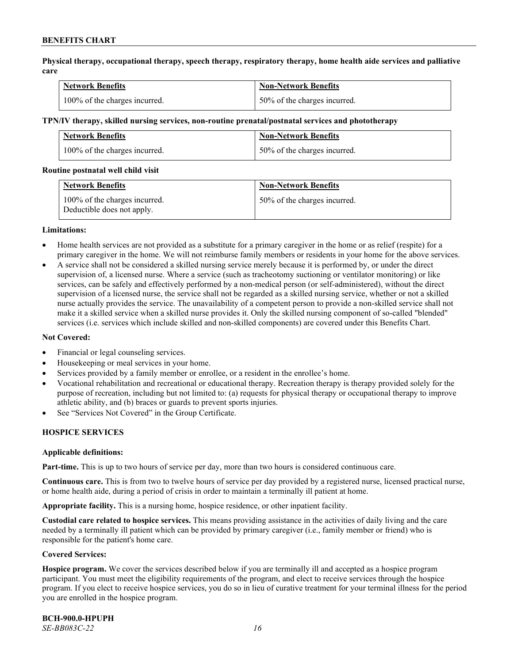**Physical therapy, occupational therapy, speech therapy, respiratory therapy, home health aide services and palliative care**

| <b>Network Benefits</b>       | <b>Non-Network Benefits</b>      |
|-------------------------------|----------------------------------|
| 100% of the charges incurred. | $150\%$ of the charges incurred. |

#### **TPN/IV therapy, skilled nursing services, non-routine prenatal/postnatal services and phototherapy**

| Network Benefits              | <b>Non-Network Benefits</b>  |
|-------------------------------|------------------------------|
| 100% of the charges incurred. | 50% of the charges incurred. |

#### **Routine postnatal well child visit**

| <b>Network Benefits</b>                                     | <b>Non-Network Benefits</b>  |
|-------------------------------------------------------------|------------------------------|
| 100% of the charges incurred.<br>Deductible does not apply. | 50% of the charges incurred. |

#### **Limitations:**

- Home health services are not provided as a substitute for a primary caregiver in the home or as relief (respite) for a primary caregiver in the home. We will not reimburse family members or residents in your home for the above services.
- A service shall not be considered a skilled nursing service merely because it is performed by, or under the direct supervision of, a licensed nurse. Where a service (such as tracheotomy suctioning or ventilator monitoring) or like services, can be safely and effectively performed by a non-medical person (or self-administered), without the direct supervision of a licensed nurse, the service shall not be regarded as a skilled nursing service, whether or not a skilled nurse actually provides the service. The unavailability of a competent person to provide a non-skilled service shall not make it a skilled service when a skilled nurse provides it. Only the skilled nursing component of so-called "blended" services (i.e. services which include skilled and non-skilled components) are covered under this Benefits Chart.

#### **Not Covered:**

- Financial or legal counseling services.
- Housekeeping or meal services in your home.
- Services provided by a family member or enrollee, or a resident in the enrollee's home.
- Vocational rehabilitation and recreational or educational therapy. Recreation therapy is therapy provided solely for the purpose of recreation, including but not limited to: (a) requests for physical therapy or occupational therapy to improve athletic ability, and (b) braces or guards to prevent sports injuries.
- See "Services Not Covered" in the Group Certificate.

### **HOSPICE SERVICES**

#### **Applicable definitions:**

**Part-time.** This is up to two hours of service per day, more than two hours is considered continuous care.

**Continuous care.** This is from two to twelve hours of service per day provided by a registered nurse, licensed practical nurse, or home health aide, during a period of crisis in order to maintain a terminally ill patient at home.

**Appropriate facility.** This is a nursing home, hospice residence, or other inpatient facility.

**Custodial care related to hospice services.** This means providing assistance in the activities of daily living and the care needed by a terminally ill patient which can be provided by primary caregiver (i.e., family member or friend) who is responsible for the patient's home care.

#### **Covered Services:**

**Hospice program.** We cover the services described below if you are terminally ill and accepted as a hospice program participant. You must meet the eligibility requirements of the program, and elect to receive services through the hospice program. If you elect to receive hospice services, you do so in lieu of curative treatment for your terminal illness for the period you are enrolled in the hospice program.

**BCH-900.0-HPUPH** *SE-BB083C-22 16*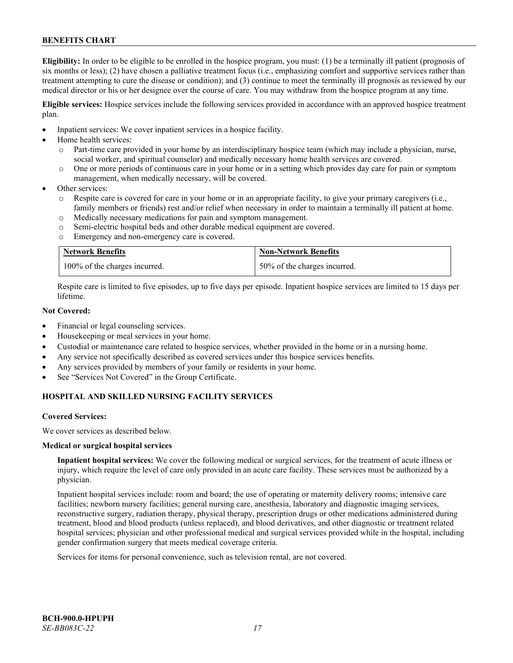**Eligibility:** In order to be eligible to be enrolled in the hospice program, you must: (1) be a terminally ill patient (prognosis of six months or less); (2) have chosen a palliative treatment focus (i.e., emphasizing comfort and supportive services rather than treatment attempting to cure the disease or condition); and (3) continue to meet the terminally ill prognosis as reviewed by our medical director or his or her designee over the course of care. You may withdraw from the hospice program at any time.

**Eligible services:** Hospice services include the following services provided in accordance with an approved hospice treatment plan.

- Inpatient services: We cover inpatient services in a hospice facility.
- Home health services:
	- o Part-time care provided in your home by an interdisciplinary hospice team (which may include a physician, nurse, social worker, and spiritual counselor) and medically necessary home health services are covered.
	- o One or more periods of continuous care in your home or in a setting which provides day care for pain or symptom management, when medically necessary, will be covered.
- Other services:
	- Respite care is covered for care in your home or in an appropriate facility, to give your primary caregivers (i.e., family members or friends) rest and/or relief when necessary in order to maintain a terminally ill patient at home.
	- o Medically necessary medications for pain and symptom management.
	- o Semi-electric hospital beds and other durable medical equipment are covered.
	- o Emergency and non-emergency care is covered.

| <b>Network Benefits</b>       | <b>Non-Network Benefits</b>  |
|-------------------------------|------------------------------|
| 100% of the charges incurred. | 50% of the charges incurred. |

Respite care is limited to five episodes, up to five days per episode. Inpatient hospice services are limited to 15 days per lifetime.

### **Not Covered:**

- Financial or legal counseling services.
- Housekeeping or meal services in your home.
- Custodial or maintenance care related to hospice services, whether provided in the home or in a nursing home.
- Any service not specifically described as covered services under this hospice services benefits.
- Any services provided by members of your family or residents in your home.
- See "Services Not Covered" in the Group Certificate.

# **HOSPITAL AND SKILLED NURSING FACILITY SERVICES**

#### **Covered Services:**

We cover services as described below.

#### **Medical or surgical hospital services**

**Inpatient hospital services:** We cover the following medical or surgical services, for the treatment of acute illness or injury, which require the level of care only provided in an acute care facility. These services must be authorized by a physician.

Inpatient hospital services include: room and board; the use of operating or maternity delivery rooms; intensive care facilities; newborn nursery facilities; general nursing care, anesthesia, laboratory and diagnostic imaging services, reconstructive surgery, radiation therapy, physical therapy, prescription drugs or other medications administered during treatment, blood and blood products (unless replaced), and blood derivatives, and other diagnostic or treatment related hospital services; physician and other professional medical and surgical services provided while in the hospital, including gender confirmation surgery that meets medical coverage criteria.

Services for items for personal convenience, such as television rental, are not covered.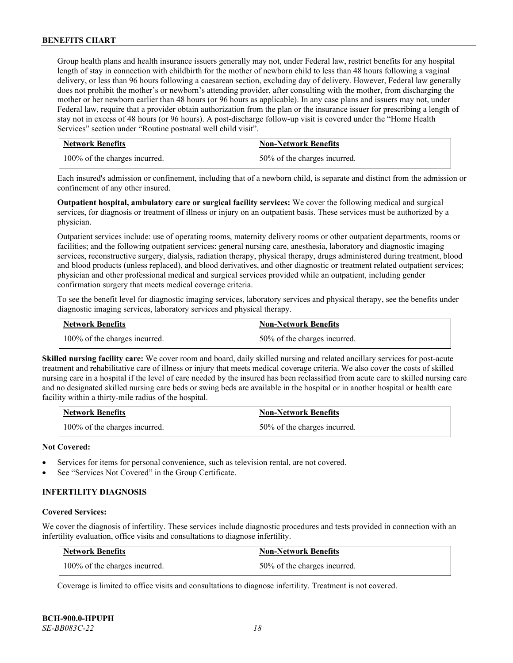Group health plans and health insurance issuers generally may not, under Federal law, restrict benefits for any hospital length of stay in connection with childbirth for the mother of newborn child to less than 48 hours following a vaginal delivery, or less than 96 hours following a caesarean section, excluding day of delivery. However, Federal law generally does not prohibit the mother's or newborn's attending provider, after consulting with the mother, from discharging the mother or her newborn earlier than 48 hours (or 96 hours as applicable). In any case plans and issuers may not, under Federal law, require that a provider obtain authorization from the plan or the insurance issuer for prescribing a length of stay not in excess of 48 hours (or 96 hours). A post-discharge follow-up visit is covered under the "Home Health Services" section under "Routine postnatal well child visit".

| <b>Network Benefits</b>       | <b>Non-Network Benefits</b>  |
|-------------------------------|------------------------------|
| 100% of the charges incurred. | 50% of the charges incurred. |

Each insured's admission or confinement, including that of a newborn child, is separate and distinct from the admission or confinement of any other insured.

**Outpatient hospital, ambulatory care or surgical facility services:** We cover the following medical and surgical services, for diagnosis or treatment of illness or injury on an outpatient basis. These services must be authorized by a physician.

Outpatient services include: use of operating rooms, maternity delivery rooms or other outpatient departments, rooms or facilities; and the following outpatient services: general nursing care, anesthesia, laboratory and diagnostic imaging services, reconstructive surgery, dialysis, radiation therapy, physical therapy, drugs administered during treatment, blood and blood products (unless replaced), and blood derivatives, and other diagnostic or treatment related outpatient services; physician and other professional medical and surgical services provided while an outpatient, including gender confirmation surgery that meets medical coverage criteria.

To see the benefit level for diagnostic imaging services, laboratory services and physical therapy, see the benefits under diagnostic imaging services, laboratory services and physical therapy.

| <b>Network Benefits</b>       | <b>Non-Network Benefits</b>  |
|-------------------------------|------------------------------|
| 100% of the charges incurred. | 50% of the charges incurred. |

**Skilled nursing facility care:** We cover room and board, daily skilled nursing and related ancillary services for post-acute treatment and rehabilitative care of illness or injury that meets medical coverage criteria. We also cover the costs of skilled nursing care in a hospital if the level of care needed by the insured has been reclassified from acute care to skilled nursing care and no designated skilled nursing care beds or swing beds are available in the hospital or in another hospital or health care facility within a thirty-mile radius of the hospital.

| Network Benefits              | <b>Non-Network Benefits</b>  |
|-------------------------------|------------------------------|
| 100% of the charges incurred. | 50% of the charges incurred. |

#### **Not Covered:**

- Services for items for personal convenience, such as television rental, are not covered.
- See "Services Not Covered" in the Group Certificate.

# **INFERTILITY DIAGNOSIS**

#### **Covered Services:**

We cover the diagnosis of infertility. These services include diagnostic procedures and tests provided in connection with an infertility evaluation, office visits and consultations to diagnose infertility.

| <b>Network Benefits</b>       | <b>Non-Network Benefits</b>  |
|-------------------------------|------------------------------|
| 100% of the charges incurred. | 50% of the charges incurred. |

Coverage is limited to office visits and consultations to diagnose infertility. Treatment is not covered.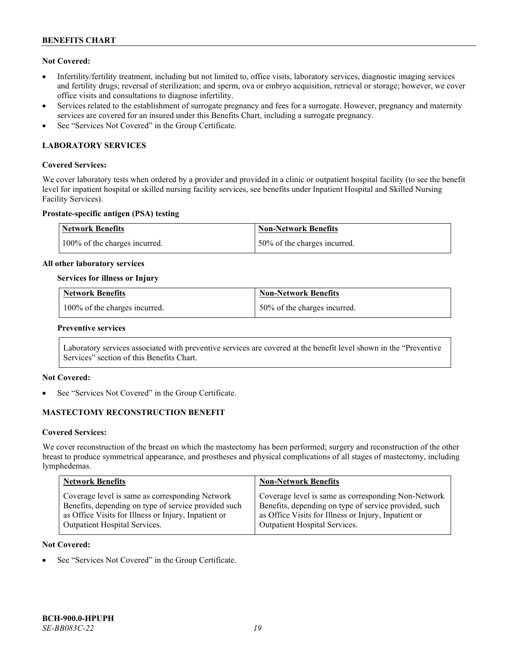## **Not Covered:**

- Infertility/fertility treatment, including but not limited to, office visits, laboratory services, diagnostic imaging services and fertility drugs; reversal of sterilization; and sperm, ova or embryo acquisition, retrieval or storage; however, we cover office visits and consultations to diagnose infertility.
- Services related to the establishment of surrogate pregnancy and fees for a surrogate. However, pregnancy and maternity services are covered for an insured under this Benefits Chart, including a surrogate pregnancy.
- See "Services Not Covered" in the Group Certificate.

# **LABORATORY SERVICES**

#### **Covered Services:**

We cover laboratory tests when ordered by a provider and provided in a clinic or outpatient hospital facility (to see the benefit level for inpatient hospital or skilled nursing facility services, see benefits under Inpatient Hospital and Skilled Nursing Facility Services).

#### **Prostate-specific antigen (PSA) testing**

| <b>Network Benefits</b>       | Non-Network Benefits         |
|-------------------------------|------------------------------|
| 100% of the charges incurred. | 50% of the charges incurred. |

#### **All other laboratory services**

#### **Services for illness or Injury**

| <b>Network Benefits</b>       | <b>Non-Network Benefits</b>  |
|-------------------------------|------------------------------|
| 100% of the charges incurred. | 50% of the charges incurred. |

#### **Preventive services**

Laboratory services associated with preventive services are covered at the benefit level shown in the "Preventive Services" section of this Benefits Chart.

### **Not Covered:**

See "Services Not Covered" in the Group Certificate.

### **MASTECTOMY RECONSTRUCTION BENEFIT**

#### **Covered Services:**

We cover reconstruction of the breast on which the mastectomy has been performed; surgery and reconstruction of the other breast to produce symmetrical appearance, and prostheses and physical complications of all stages of mastectomy, including lymphedemas.

| <b>Network Benefits</b>                              | <b>Non-Network Benefits</b>                           |
|------------------------------------------------------|-------------------------------------------------------|
| Coverage level is same as corresponding Network      | Coverage level is same as corresponding Non-Network   |
| Benefits, depending on type of service provided such | Benefits, depending on type of service provided, such |
| as Office Visits for Illness or Injury, Inpatient or | as Office Visits for Illness or Injury, Inpatient or  |
| Outpatient Hospital Services.                        | Outpatient Hospital Services.                         |

#### **Not Covered:**

See "Services Not Covered" in the Group Certificate.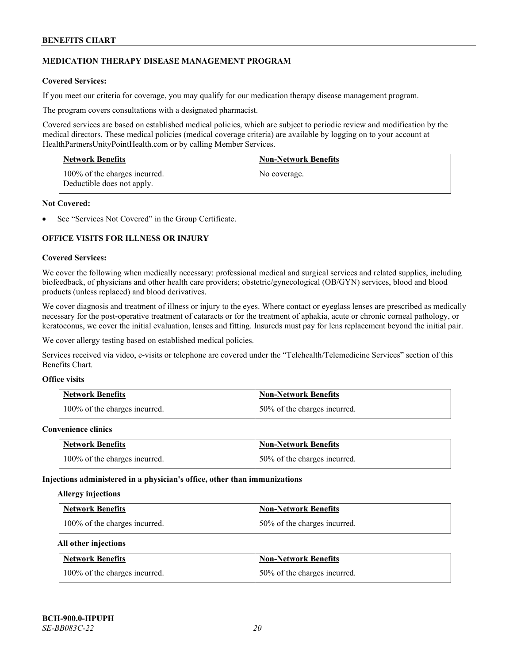### **MEDICATION THERAPY DISEASE MANAGEMENT PROGRAM**

### **Covered Services:**

If you meet our criteria for coverage, you may qualify for our medication therapy disease management program.

The program covers consultations with a designated pharmacist.

Covered services are based on established medical policies, which are subject to periodic review and modification by the medical directors. These medical policies (medical coverage criteria) are available by logging on to your account at [HealthPartnersUnityPointHealth.com](https://www.healthpartnersunitypointhealth.com/) or by calling Member Services.

| <b>Network Benefits</b>                                     | <b>Non-Network Benefits</b> |
|-------------------------------------------------------------|-----------------------------|
| 100% of the charges incurred.<br>Deductible does not apply. | No coverage.                |

#### **Not Covered:**

See "Services Not Covered" in the Group Certificate.

### **OFFICE VISITS FOR ILLNESS OR INJURY**

#### **Covered Services:**

We cover the following when medically necessary: professional medical and surgical services and related supplies, including biofeedback, of physicians and other health care providers; obstetric/gynecological (OB/GYN) services, blood and blood products (unless replaced) and blood derivatives.

We cover diagnosis and treatment of illness or injury to the eyes. Where contact or eyeglass lenses are prescribed as medically necessary for the post-operative treatment of cataracts or for the treatment of aphakia, acute or chronic corneal pathology, or keratoconus, we cover the initial evaluation, lenses and fitting. Insureds must pay for lens replacement beyond the initial pair.

We cover allergy testing based on established medical policies.

Services received via video, e-visits or telephone are covered under the "Telehealth/Telemedicine Services" section of this Benefits Chart.

# **Office visits**

| <b>Network Benefits</b>       | <b>Non-Network Benefits</b>  |
|-------------------------------|------------------------------|
| 100% of the charges incurred. | 50% of the charges incurred. |

#### **Convenience clinics**

| <b>Network Benefits</b>       | <b>Non-Network Benefits</b>  |
|-------------------------------|------------------------------|
| 100% of the charges incurred. | 50% of the charges incurred. |

#### **Injections administered in a physician's office, other than immunizations**

#### **Allergy injections**

| <b>Network Benefits</b>       | <b>Non-Network Benefits</b>  |
|-------------------------------|------------------------------|
| 100% of the charges incurred. | 50% of the charges incurred. |

#### **All other injections**

| <b>Network Benefits</b>       | <b>Non-Network Benefits</b>  |
|-------------------------------|------------------------------|
| 100% of the charges incurred. | 50% of the charges incurred. |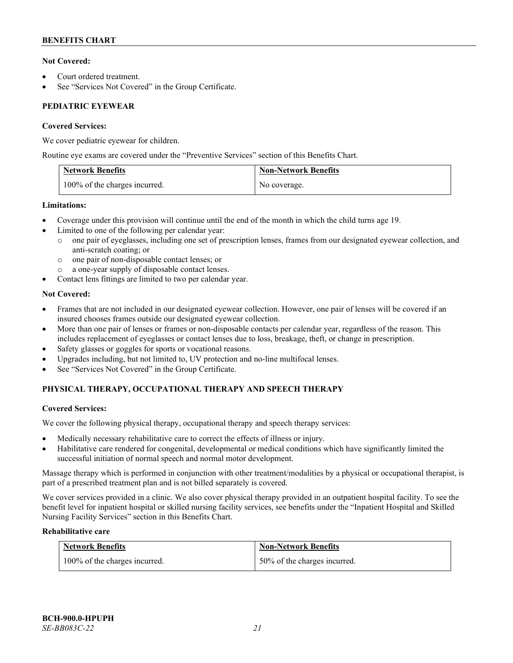## **Not Covered:**

- Court ordered treatment.
- See "Services Not Covered" in the Group Certificate.

# **PEDIATRIC EYEWEAR**

### **Covered Services:**

We cover pediatric eyewear for children.

Routine eye exams are covered under the "Preventive Services" section of this Benefits Chart.

| <b>Network Benefits</b>       | <b>Non-Network Benefits</b> |
|-------------------------------|-----------------------------|
| 100% of the charges incurred. | No coverage.                |

### **Limitations:**

- Coverage under this provision will continue until the end of the month in which the child turns age 19.
- Limited to one of the following per calendar year:
	- o one pair of eyeglasses, including one set of prescription lenses, frames from our designated eyewear collection, and anti-scratch coating; or
	- o one pair of non-disposable contact lenses; or
	- a one-year supply of disposable contact lenses.
- Contact lens fittings are limited to two per calendar year.

# **Not Covered:**

- Frames that are not included in our designated eyewear collection. However, one pair of lenses will be covered if an insured chooses frames outside our designated eyewear collection.
- More than one pair of lenses or frames or non-disposable contacts per calendar year, regardless of the reason. This includes replacement of eyeglasses or contact lenses due to loss, breakage, theft, or change in prescription.
- Safety glasses or goggles for sports or vocational reasons.
- Upgrades including, but not limited to, UV protection and no-line multifocal lenses.
- See "Services Not Covered" in the Group Certificate.

# **PHYSICAL THERAPY, OCCUPATIONAL THERAPY AND SPEECH THERAPY**

### **Covered Services:**

We cover the following physical therapy, occupational therapy and speech therapy services:

- Medically necessary rehabilitative care to correct the effects of illness or injury.
- Habilitative care rendered for congenital, developmental or medical conditions which have significantly limited the successful initiation of normal speech and normal motor development.

Massage therapy which is performed in conjunction with other treatment/modalities by a physical or occupational therapist, is part of a prescribed treatment plan and is not billed separately is covered.

We cover services provided in a clinic. We also cover physical therapy provided in an outpatient hospital facility. To see the benefit level for inpatient hospital or skilled nursing facility services, see benefits under the "Inpatient Hospital and Skilled Nursing Facility Services" section in this Benefits Chart.

# **Rehabilitative care**

| <b>Network Benefits</b>       | <b>Non-Network Benefits</b>  |
|-------------------------------|------------------------------|
| 100% of the charges incurred. | 50% of the charges incurred. |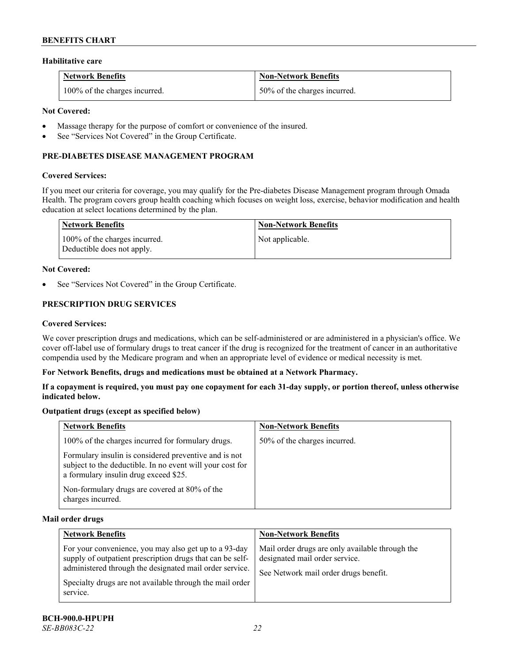#### **Habilitative care**

| <b>Network Benefits</b>       | <b>Non-Network Benefits</b>  |
|-------------------------------|------------------------------|
| 100% of the charges incurred. | 50% of the charges incurred. |

### **Not Covered:**

- Massage therapy for the purpose of comfort or convenience of the insured.
- See "Services Not Covered" in the Group Certificate.

### **PRE-DIABETES DISEASE MANAGEMENT PROGRAM**

#### **Covered Services:**

If you meet our criteria for coverage, you may qualify for the Pre-diabetes Disease Management program through Omada Health. The program covers group health coaching which focuses on weight loss, exercise, behavior modification and health education at select locations determined by the plan.

| Network Benefits                                            | <b>Non-Network Benefits</b> |
|-------------------------------------------------------------|-----------------------------|
| 100% of the charges incurred.<br>Deductible does not apply. | Not applicable.             |

#### **Not Covered:**

See "Services Not Covered" in the Group Certificate.

# **PRESCRIPTION DRUG SERVICES**

#### **Covered Services:**

We cover prescription drugs and medications, which can be self-administered or are administered in a physician's office. We cover off-label use of formulary drugs to treat cancer if the drug is recognized for the treatment of cancer in an authoritative compendia used by the Medicare program and when an appropriate level of evidence or medical necessity is met.

#### **For Network Benefits, drugs and medications must be obtained at a Network Pharmacy.**

**If a copayment is required, you must pay one copayment for each 31-day supply, or portion thereof, unless otherwise indicated below.**

### **Outpatient drugs (except as specified below)**

| <b>Network Benefits</b>                                                                                                                                     | <b>Non-Network Benefits</b>  |
|-------------------------------------------------------------------------------------------------------------------------------------------------------------|------------------------------|
| 100% of the charges incurred for formulary drugs.                                                                                                           | 50% of the charges incurred. |
| Formulary insulin is considered preventive and is not<br>subject to the deductible. In no event will your cost for<br>a formulary insulin drug exceed \$25. |                              |
| Non-formulary drugs are covered at 80% of the<br>charges incurred.                                                                                          |                              |

#### **Mail order drugs**

| <b>Network Benefits</b>                                                                                                                                                                                                                               | <b>Non-Network Benefits</b>                                                                                                |
|-------------------------------------------------------------------------------------------------------------------------------------------------------------------------------------------------------------------------------------------------------|----------------------------------------------------------------------------------------------------------------------------|
| For your convenience, you may also get up to a 93-day<br>supply of outpatient prescription drugs that can be self-<br>administered through the designated mail order service.<br>Specialty drugs are not available through the mail order<br>service. | Mail order drugs are only available through the<br>designated mail order service.<br>See Network mail order drugs benefit. |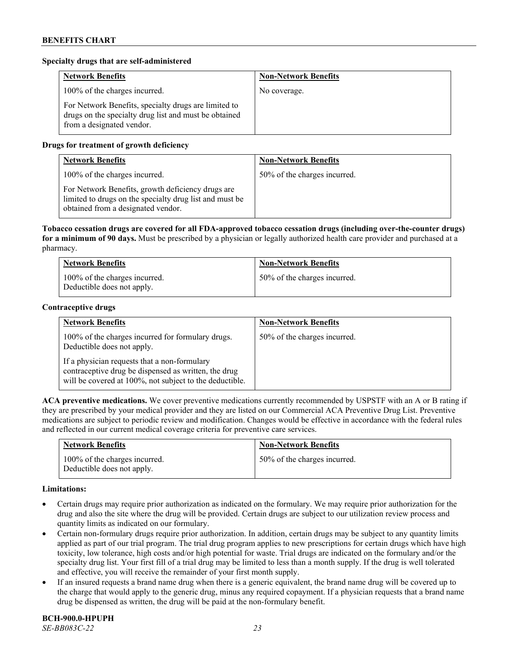#### **Specialty drugs that are self-administered**

| <b>Network Benefits</b>                                                                                                                    | <b>Non-Network Benefits</b> |
|--------------------------------------------------------------------------------------------------------------------------------------------|-----------------------------|
| 100% of the charges incurred.                                                                                                              | No coverage.                |
| For Network Benefits, specialty drugs are limited to<br>drugs on the specialty drug list and must be obtained<br>from a designated vendor. |                             |

### **Drugs for treatment of growth deficiency**

| <b>Network Benefits</b>                                                                                                                            | <b>Non-Network Benefits</b>  |
|----------------------------------------------------------------------------------------------------------------------------------------------------|------------------------------|
| 100% of the charges incurred.                                                                                                                      | 50% of the charges incurred. |
| For Network Benefits, growth deficiency drugs are<br>limited to drugs on the specialty drug list and must be<br>obtained from a designated vendor. |                              |

**Tobacco cessation drugs are covered for all FDA-approved tobacco cessation drugs (including over-the-counter drugs) for a minimum of 90 days.** Must be prescribed by a physician or legally authorized health care provider and purchased at a pharmacy.

| <b>Network Benefits</b>                                     | <b>Non-Network Benefits</b>  |
|-------------------------------------------------------------|------------------------------|
| 100% of the charges incurred.<br>Deductible does not apply. | 50% of the charges incurred. |

### **Contraceptive drugs**

| <b>Network Benefits</b>                                                                                                                                         | <b>Non-Network Benefits</b>  |
|-----------------------------------------------------------------------------------------------------------------------------------------------------------------|------------------------------|
| 100% of the charges incurred for formulary drugs.<br>Deductible does not apply.                                                                                 | 50% of the charges incurred. |
| If a physician requests that a non-formulary<br>contraceptive drug be dispensed as written, the drug<br>will be covered at 100%, not subject to the deductible. |                              |

**ACA preventive medications.** We cover preventive medications currently recommended by USPSTF with an A or B rating if they are prescribed by your medical provider and they are listed on our Commercial ACA Preventive Drug List. Preventive medications are subject to periodic review and modification. Changes would be effective in accordance with the federal rules and reflected in our current medical coverage criteria for preventive care services.

| <b>Network Benefits</b>                                     | <b>Non-Network Benefits</b>  |
|-------------------------------------------------------------|------------------------------|
| 100% of the charges incurred.<br>Deductible does not apply. | 50% of the charges incurred. |

#### **Limitations:**

- Certain drugs may require prior authorization as indicated on the formulary. We may require prior authorization for the drug and also the site where the drug will be provided. Certain drugs are subject to our utilization review process and quantity limits as indicated on our formulary.
- Certain non-formulary drugs require prior authorization. In addition, certain drugs may be subject to any quantity limits applied as part of our trial program. The trial drug program applies to new prescriptions for certain drugs which have high toxicity, low tolerance, high costs and/or high potential for waste. Trial drugs are indicated on the formulary and/or the specialty drug list. Your first fill of a trial drug may be limited to less than a month supply. If the drug is well tolerated and effective, you will receive the remainder of your first month supply.
- If an insured requests a brand name drug when there is a generic equivalent, the brand name drug will be covered up to the charge that would apply to the generic drug, minus any required copayment. If a physician requests that a brand name drug be dispensed as written, the drug will be paid at the non-formulary benefit.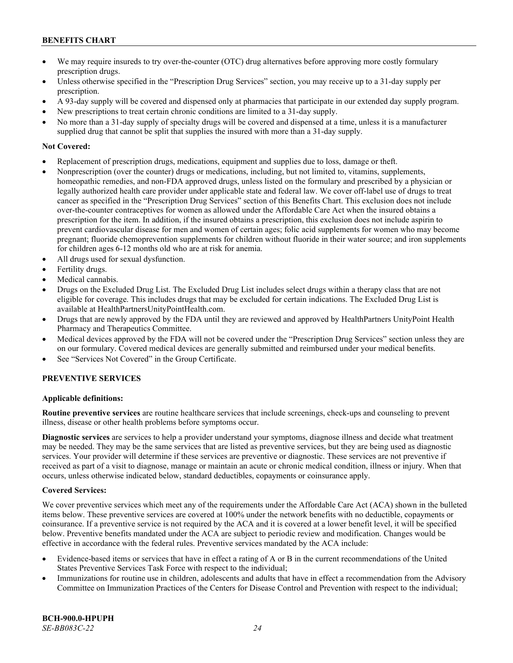- We may require insureds to try over-the-counter (OTC) drug alternatives before approving more costly formulary prescription drugs.
- Unless otherwise specified in the "Prescription Drug Services" section, you may receive up to a 31-day supply per prescription.
- A 93-day supply will be covered and dispensed only at pharmacies that participate in our extended day supply program.
- New prescriptions to treat certain chronic conditions are limited to a 31-day supply.
- No more than a 31-day supply of specialty drugs will be covered and dispensed at a time, unless it is a manufacturer supplied drug that cannot be split that supplies the insured with more than a 31-day supply.

#### **Not Covered:**

- Replacement of prescription drugs, medications, equipment and supplies due to loss, damage or theft.
- Nonprescription (over the counter) drugs or medications, including, but not limited to, vitamins, supplements, homeopathic remedies, and non-FDA approved drugs, unless listed on the formulary and prescribed by a physician or legally authorized health care provider under applicable state and federal law. We cover off-label use of drugs to treat cancer as specified in the "Prescription Drug Services" section of this Benefits Chart. This exclusion does not include over-the-counter contraceptives for women as allowed under the Affordable Care Act when the insured obtains a prescription for the item. In addition, if the insured obtains a prescription, this exclusion does not include aspirin to prevent cardiovascular disease for men and women of certain ages; folic acid supplements for women who may become pregnant; fluoride chemoprevention supplements for children without fluoride in their water source; and iron supplements for children ages 6-12 months old who are at risk for anemia.
- All drugs used for sexual dysfunction.
- Fertility drugs.
- Medical cannabis.
- Drugs on the Excluded Drug List. The Excluded Drug List includes select drugs within a therapy class that are not eligible for coverage. This includes drugs that may be excluded for certain indications. The Excluded Drug List is available a[t HealthPartnersUnityPointHealth.com.](https://www.healthpartnersunitypointhealth.com/)
- Drugs that are newly approved by the FDA until they are reviewed and approved by HealthPartners UnityPoint Health Pharmacy and Therapeutics Committee.
- Medical devices approved by the FDA will not be covered under the "Prescription Drug Services" section unless they are on our formulary. Covered medical devices are generally submitted and reimbursed under your medical benefits.
- See "Services Not Covered" in the Group Certificate.

# **PREVENTIVE SERVICES**

### **Applicable definitions:**

**Routine preventive services** are routine healthcare services that include screenings, check-ups and counseling to prevent illness, disease or other health problems before symptoms occur.

**Diagnostic services** are services to help a provider understand your symptoms, diagnose illness and decide what treatment may be needed. They may be the same services that are listed as preventive services, but they are being used as diagnostic services. Your provider will determine if these services are preventive or diagnostic. These services are not preventive if received as part of a visit to diagnose, manage or maintain an acute or chronic medical condition, illness or injury. When that occurs, unless otherwise indicated below, standard deductibles, copayments or coinsurance apply.

### **Covered Services:**

We cover preventive services which meet any of the requirements under the Affordable Care Act (ACA) shown in the bulleted items below. These preventive services are covered at 100% under the network benefits with no deductible, copayments or coinsurance. If a preventive service is not required by the ACA and it is covered at a lower benefit level, it will be specified below. Preventive benefits mandated under the ACA are subject to periodic review and modification. Changes would be effective in accordance with the federal rules. Preventive services mandated by the ACA include:

- Evidence-based items or services that have in effect a rating of A or B in the current recommendations of the United States Preventive Services Task Force with respect to the individual;
- Immunizations for routine use in children, adolescents and adults that have in effect a recommendation from the Advisory Committee on Immunization Practices of the Centers for Disease Control and Prevention with respect to the individual;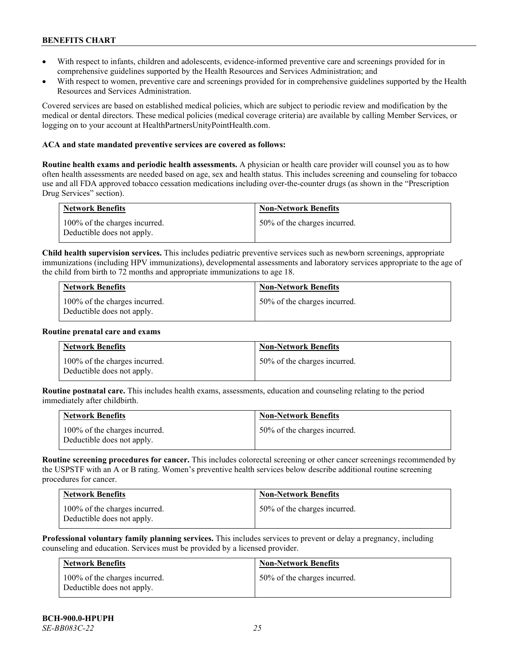- With respect to infants, children and adolescents, evidence-informed preventive care and screenings provided for in comprehensive guidelines supported by the Health Resources and Services Administration; and
- With respect to women, preventive care and screenings provided for in comprehensive guidelines supported by the Health Resources and Services Administration.

Covered services are based on established medical policies, which are subject to periodic review and modification by the medical or dental directors. These medical policies (medical coverage criteria) are available by calling Member Services, or logging on to your account at [HealthPartnersUnityPointHealth.com.](https://www.healthpartnersunitypointhealth.com/)

#### **ACA and state mandated preventive services are covered as follows:**

**Routine health exams and periodic health assessments.** A physician or health care provider will counsel you as to how often health assessments are needed based on age, sex and health status. This includes screening and counseling for tobacco use and all FDA approved tobacco cessation medications including over-the-counter drugs (as shown in the "Prescription Drug Services" section).

| <b>Network Benefits</b>                                     | <b>Non-Network Benefits</b>  |
|-------------------------------------------------------------|------------------------------|
| 100% of the charges incurred.<br>Deductible does not apply. | 50% of the charges incurred. |

**Child health supervision services.** This includes pediatric preventive services such as newborn screenings, appropriate immunizations (including HPV immunizations), developmental assessments and laboratory services appropriate to the age of the child from birth to 72 months and appropriate immunizations to age 18.

| <b>Network Benefits</b>                                     | <b>Non-Network Benefits</b>  |
|-------------------------------------------------------------|------------------------------|
| 100% of the charges incurred.<br>Deductible does not apply. | 50% of the charges incurred. |

#### **Routine prenatal care and exams**

| <b>Network Benefits</b>                                     | <b>Non-Network Benefits</b>  |
|-------------------------------------------------------------|------------------------------|
| 100% of the charges incurred.<br>Deductible does not apply. | 50% of the charges incurred. |

**Routine postnatal care.** This includes health exams, assessments, education and counseling relating to the period immediately after childbirth.

| <b>Network Benefits</b>                                     | <b>Non-Network Benefits</b>  |
|-------------------------------------------------------------|------------------------------|
| 100% of the charges incurred.<br>Deductible does not apply. | 50% of the charges incurred. |

**Routine screening procedures for cancer.** This includes colorectal screening or other cancer screenings recommended by the USPSTF with an A or B rating. Women's preventive health services below describe additional routine screening procedures for cancer.

| Network Benefits                                            | <b>Non-Network Benefits</b>  |
|-------------------------------------------------------------|------------------------------|
| 100% of the charges incurred.<br>Deductible does not apply. | 50% of the charges incurred. |

**Professional voluntary family planning services.** This includes services to prevent or delay a pregnancy, including counseling and education. Services must be provided by a licensed provider.

| Network Benefits                                            | <b>Non-Network Benefits</b>  |
|-------------------------------------------------------------|------------------------------|
| 100% of the charges incurred.<br>Deductible does not apply. | 50% of the charges incurred. |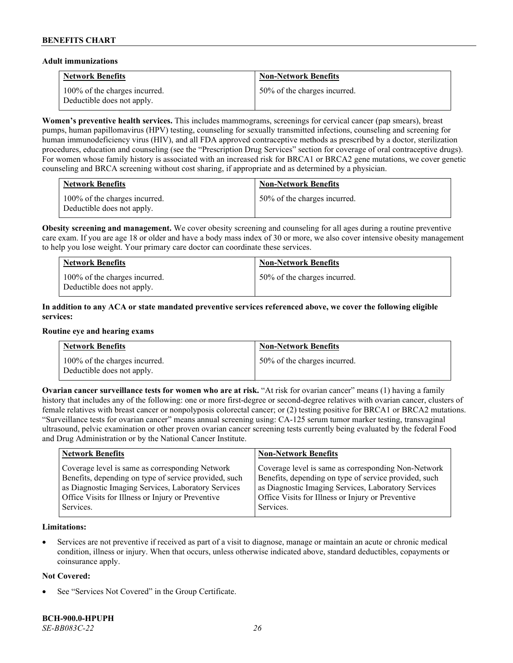#### **Adult immunizations**

| <b>Network Benefits</b>                                     | <b>Non-Network Benefits</b>  |
|-------------------------------------------------------------|------------------------------|
| 100% of the charges incurred.<br>Deductible does not apply. | 50% of the charges incurred. |

**Women's preventive health services.** This includes mammograms, screenings for cervical cancer (pap smears), breast pumps, human papillomavirus (HPV) testing, counseling for sexually transmitted infections, counseling and screening for human immunodeficiency virus (HIV), and all FDA approved contraceptive methods as prescribed by a doctor, sterilization procedures, education and counseling (see the "Prescription Drug Services" section for coverage of oral contraceptive drugs). For women whose family history is associated with an increased risk for BRCA1 or BRCA2 gene mutations, we cover genetic counseling and BRCA screening without cost sharing, if appropriate and as determined by a physician.

| <b>Network Benefits</b>                                     | <b>Non-Network Benefits</b>  |
|-------------------------------------------------------------|------------------------------|
| 100% of the charges incurred.<br>Deductible does not apply. | 50% of the charges incurred. |

**Obesity screening and management.** We cover obesity screening and counseling for all ages during a routine preventive care exam. If you are age 18 or older and have a body mass index of 30 or more, we also cover intensive obesity management to help you lose weight. Your primary care doctor can coordinate these services.

| <b>Network Benefits</b>                                     | <b>Non-Network Benefits</b>  |
|-------------------------------------------------------------|------------------------------|
| 100% of the charges incurred.<br>Deductible does not apply. | 50% of the charges incurred. |

### **In addition to any ACA or state mandated preventive services referenced above, we cover the following eligible services:**

#### **Routine eye and hearing exams**

| <b>Network Benefits</b>                                     | <b>Non-Network Benefits</b>  |
|-------------------------------------------------------------|------------------------------|
| 100% of the charges incurred.<br>Deductible does not apply. | 50% of the charges incurred. |

**Ovarian cancer surveillance tests for women who are at risk. "At risk for ovarian cancer" means (1) having a family** history that includes any of the following: one or more first-degree or second-degree relatives with ovarian cancer, clusters of female relatives with breast cancer or nonpolyposis colorectal cancer; or (2) testing positive for BRCA1 or BRCA2 mutations. "Surveillance tests for ovarian cancer" means annual screening using: CA-125 serum tumor marker testing, transvaginal ultrasound, pelvic examination or other proven ovarian cancer screening tests currently being evaluated by the federal Food and Drug Administration or by the National Cancer Institute.

| <b>Network Benefits</b>                               | <b>Non-Network Benefits</b>                           |
|-------------------------------------------------------|-------------------------------------------------------|
| Coverage level is same as corresponding Network       | Coverage level is same as corresponding Non-Network   |
| Benefits, depending on type of service provided, such | Benefits, depending on type of service provided, such |
| as Diagnostic Imaging Services, Laboratory Services   | as Diagnostic Imaging Services, Laboratory Services   |
| Office Visits for Illness or Injury or Preventive     | Office Visits for Illness or Injury or Preventive     |
| Services.                                             | Services.                                             |

### **Limitations:**

• Services are not preventive if received as part of a visit to diagnose, manage or maintain an acute or chronic medical condition, illness or injury. When that occurs, unless otherwise indicated above, standard deductibles, copayments or coinsurance apply.

### **Not Covered:**

See "Services Not Covered" in the Group Certificate.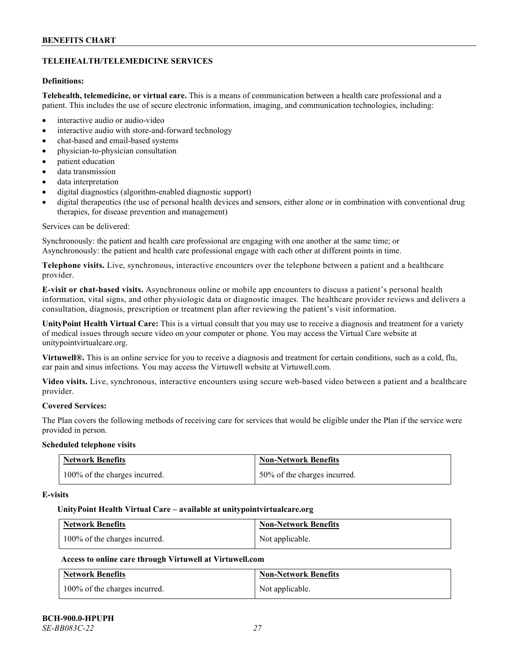# **TELEHEALTH/TELEMEDICINE SERVICES**

### **Definitions:**

**Telehealth, telemedicine, or virtual care.** This is a means of communication between a health care professional and a patient. This includes the use of secure electronic information, imaging, and communication technologies, including:

- interactive audio or audio-video
- interactive audio with store-and-forward technology
- chat-based and email-based systems
- physician-to-physician consultation
- patient education
- data transmission
- data interpretation
- digital diagnostics (algorithm-enabled diagnostic support)
- digital therapeutics (the use of personal health devices and sensors, either alone or in combination with conventional drug therapies, for disease prevention and management)

#### Services can be delivered:

Synchronously: the patient and health care professional are engaging with one another at the same time; or Asynchronously: the patient and health care professional engage with each other at different points in time.

**Telephone visits.** Live, synchronous, interactive encounters over the telephone between a patient and a healthcare provider.

**E-visit or chat-based visits.** Asynchronous online or mobile app encounters to discuss a patient's personal health information, vital signs, and other physiologic data or diagnostic images. The healthcare provider reviews and delivers a consultation, diagnosis, prescription or treatment plan after reviewing the patient's visit information.

**UnityPoint Health Virtual Care:** This is a virtual consult that you may use to receive a diagnosis and treatment for a variety of medical issues through secure video on your computer or phone. You may access the Virtual Care website at [unitypointvirtualcare.org.](https://unitypointvirtualcare.org/landing.htm)

**Virtuwell®.** This is an online service for you to receive a diagnosis and treatment for certain conditions, such as a cold, flu, ear pain and sinus infections. You may access the Virtuwell website at [Virtuwell.com.](https://www.virtuwell.com/)

**Video visits.** Live, synchronous, interactive encounters using secure web-based video between a patient and a healthcare provider.

# **Covered Services:**

The Plan covers the following methods of receiving care for services that would be eligible under the Plan if the service were provided in person.

#### **Scheduled telephone visits**

| <b>Network Benefits</b>       | <b>Non-Network Benefits</b>  |
|-------------------------------|------------------------------|
| 100% of the charges incurred. | 50% of the charges incurred. |

#### **E-visits**

#### **UnityPoint Health Virtual Care – available a[t unitypointvirtualcare.org](http://www.unitypointvirtualcare.org/)**

| <b>Network Benefits</b>       | <b>Non-Network Benefits</b> |
|-------------------------------|-----------------------------|
| 100% of the charges incurred. | Not applicable.             |

### **Access to online care through Virtuwell at [Virtuwell.com](http://www.virtuwell.com/)**

| <b>Network Benefits</b>       | <b>Non-Network Benefits</b> |
|-------------------------------|-----------------------------|
| 100% of the charges incurred. | Not applicable.             |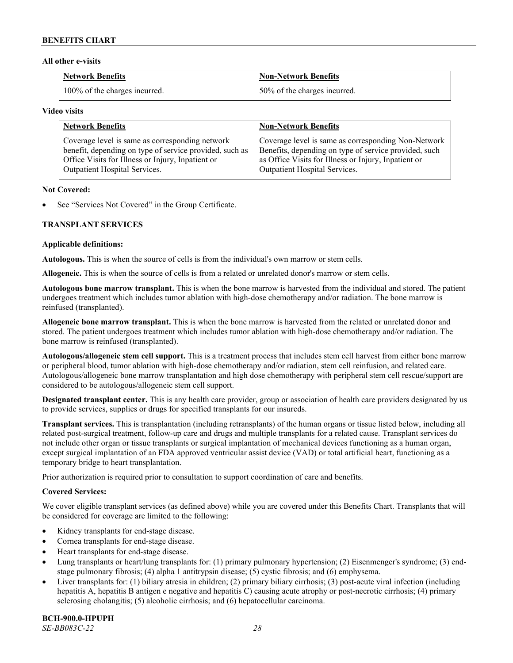#### **All other e-visits**

| <b>Network Benefits</b>       | <b>Non-Network Benefits</b>  |
|-------------------------------|------------------------------|
| 100% of the charges incurred. | 50% of the charges incurred. |

#### **Video visits**

| <b>Network Benefits</b>                                 | <b>Non-Network Benefits</b>                           |
|---------------------------------------------------------|-------------------------------------------------------|
| Coverage level is same as corresponding network         | Coverage level is same as corresponding Non-Network   |
| benefit, depending on type of service provided, such as | Benefits, depending on type of service provided, such |
| Office Visits for Illness or Injury, Inpatient or       | as Office Visits for Illness or Injury, Inpatient or  |
| Outpatient Hospital Services.                           | Outpatient Hospital Services.                         |

#### **Not Covered:**

See "Services Not Covered" in the Group Certificate.

### **TRANSPLANT SERVICES**

#### **Applicable definitions:**

**Autologous.** This is when the source of cells is from the individual's own marrow or stem cells.

**Allogeneic.** This is when the source of cells is from a related or unrelated donor's marrow or stem cells.

**Autologous bone marrow transplant.** This is when the bone marrow is harvested from the individual and stored. The patient undergoes treatment which includes tumor ablation with high-dose chemotherapy and/or radiation. The bone marrow is reinfused (transplanted).

**Allogeneic bone marrow transplant.** This is when the bone marrow is harvested from the related or unrelated donor and stored. The patient undergoes treatment which includes tumor ablation with high-dose chemotherapy and/or radiation. The bone marrow is reinfused (transplanted).

**Autologous/allogeneic stem cell support.** This is a treatment process that includes stem cell harvest from either bone marrow or peripheral blood, tumor ablation with high-dose chemotherapy and/or radiation, stem cell reinfusion, and related care. Autologous/allogeneic bone marrow transplantation and high dose chemotherapy with peripheral stem cell rescue/support are considered to be autologous/allogeneic stem cell support.

**Designated transplant center.** This is any health care provider, group or association of health care providers designated by us to provide services, supplies or drugs for specified transplants for our insureds.

**Transplant services.** This is transplantation (including retransplants) of the human organs or tissue listed below, including all related post-surgical treatment, follow-up care and drugs and multiple transplants for a related cause. Transplant services do not include other organ or tissue transplants or surgical implantation of mechanical devices functioning as a human organ, except surgical implantation of an FDA approved ventricular assist device (VAD) or total artificial heart, functioning as a temporary bridge to heart transplantation.

Prior authorization is required prior to consultation to support coordination of care and benefits.

### **Covered Services:**

We cover eligible transplant services (as defined above) while you are covered under this Benefits Chart. Transplants that will be considered for coverage are limited to the following:

- Kidney transplants for end-stage disease.
- Cornea transplants for end-stage disease.
- Heart transplants for end-stage disease.
- Lung transplants or heart/lung transplants for: (1) primary pulmonary hypertension; (2) Eisenmenger's syndrome; (3) endstage pulmonary fibrosis; (4) alpha 1 antitrypsin disease; (5) cystic fibrosis; and (6) emphysema.
- Liver transplants for: (1) biliary atresia in children; (2) primary biliary cirrhosis; (3) post-acute viral infection (including hepatitis A, hepatitis B antigen e negative and hepatitis C) causing acute atrophy or post-necrotic cirrhosis; (4) primary sclerosing cholangitis; (5) alcoholic cirrhosis; and (6) hepatocellular carcinoma.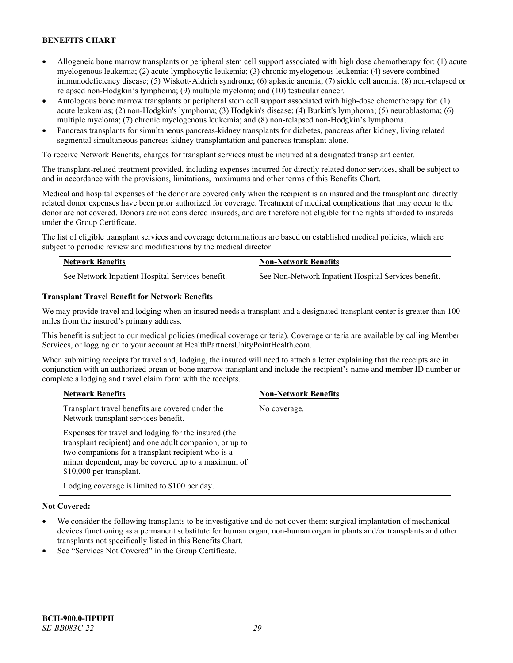- Allogeneic bone marrow transplants or peripheral stem cell support associated with high dose chemotherapy for: (1) acute myelogenous leukemia; (2) acute lymphocytic leukemia; (3) chronic myelogenous leukemia; (4) severe combined immunodeficiency disease; (5) Wiskott-Aldrich syndrome; (6) aplastic anemia; (7) sickle cell anemia; (8) non-relapsed or relapsed non-Hodgkin's lymphoma; (9) multiple myeloma; and (10) testicular cancer.
- Autologous bone marrow transplants or peripheral stem cell support associated with high-dose chemotherapy for: (1) acute leukemias; (2) non-Hodgkin's lymphoma; (3) Hodgkin's disease; (4) Burkitt's lymphoma; (5) neuroblastoma; (6) multiple myeloma; (7) chronic myelogenous leukemia; and (8) non-relapsed non-Hodgkin's lymphoma.
- Pancreas transplants for simultaneous pancreas-kidney transplants for diabetes, pancreas after kidney, living related segmental simultaneous pancreas kidney transplantation and pancreas transplant alone.

To receive Network Benefits, charges for transplant services must be incurred at a designated transplant center.

The transplant-related treatment provided, including expenses incurred for directly related donor services, shall be subject to and in accordance with the provisions, limitations, maximums and other terms of this Benefits Chart.

Medical and hospital expenses of the donor are covered only when the recipient is an insured and the transplant and directly related donor expenses have been prior authorized for coverage. Treatment of medical complications that may occur to the donor are not covered. Donors are not considered insureds, and are therefore not eligible for the rights afforded to insureds under the Group Certificate.

The list of eligible transplant services and coverage determinations are based on established medical policies, which are subject to periodic review and modifications by the medical director

| <b>Network Benefits</b>                          | <b>Non-Network Benefits</b>                          |
|--------------------------------------------------|------------------------------------------------------|
| See Network Inpatient Hospital Services benefit. | See Non-Network Inpatient Hospital Services benefit. |

#### **Transplant Travel Benefit for Network Benefits**

We may provide travel and lodging when an insured needs a transplant and a designated transplant center is greater than 100 miles from the insured's primary address.

This benefit is subject to our medical policies (medical coverage criteria). Coverage criteria are available by calling Member Services, or logging on to your account at [HealthPartnersUnityPointHealth.com.](https://www.healthpartnersunitypointhealth.com/)

When submitting receipts for travel and, lodging, the insured will need to attach a letter explaining that the receipts are in conjunction with an authorized organ or bone marrow transplant and include the recipient's name and member ID number or complete a lodging and travel claim form with the receipts.

| <b>Network Benefits</b>                                                                                                                                                                                                                                 | <b>Non-Network Benefits</b> |
|---------------------------------------------------------------------------------------------------------------------------------------------------------------------------------------------------------------------------------------------------------|-----------------------------|
| Transplant travel benefits are covered under the<br>Network transplant services benefit.                                                                                                                                                                | No coverage.                |
| Expenses for travel and lodging for the insured (the<br>transplant recipient) and one adult companion, or up to<br>two companions for a transplant recipient who is a<br>minor dependent, may be covered up to a maximum of<br>\$10,000 per transplant. |                             |
| Lodging coverage is limited to \$100 per day.                                                                                                                                                                                                           |                             |

### **Not Covered:**

- We consider the following transplants to be investigative and do not cover them: surgical implantation of mechanical devices functioning as a permanent substitute for human organ, non-human organ implants and/or transplants and other transplants not specifically listed in this Benefits Chart.
- See "Services Not Covered" in the Group Certificate.